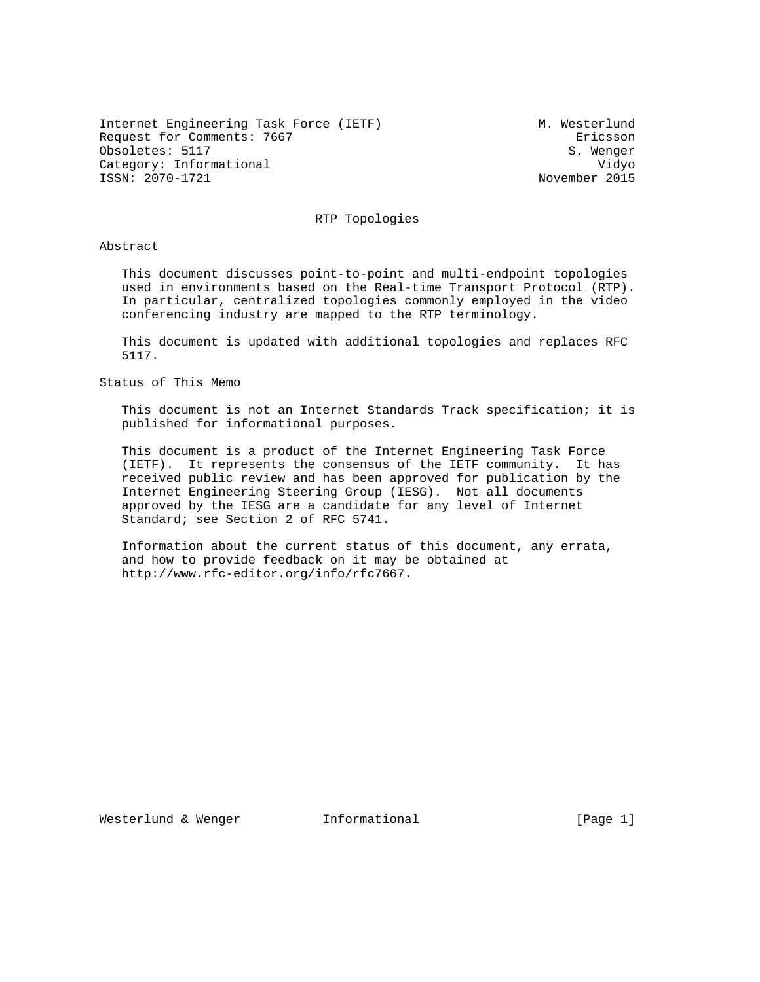Internet Engineering Task Force (IETF) M. Westerlund Request for Comments: 7667 Ericsson Obsoletes: 5117 S. Wenger Category: Informational  $V$ idyo ISSN: 2070-1721 November 2015

RTP Topologies

Abstract

 This document discusses point-to-point and multi-endpoint topologies used in environments based on the Real-time Transport Protocol (RTP). In particular, centralized topologies commonly employed in the video conferencing industry are mapped to the RTP terminology.

 This document is updated with additional topologies and replaces RFC 5117.

Status of This Memo

 This document is not an Internet Standards Track specification; it is published for informational purposes.

 This document is a product of the Internet Engineering Task Force (IETF). It represents the consensus of the IETF community. It has received public review and has been approved for publication by the Internet Engineering Steering Group (IESG). Not all documents approved by the IESG are a candidate for any level of Internet Standard; see Section 2 of RFC 5741.

 Information about the current status of this document, any errata, and how to provide feedback on it may be obtained at http://www.rfc-editor.org/info/rfc7667.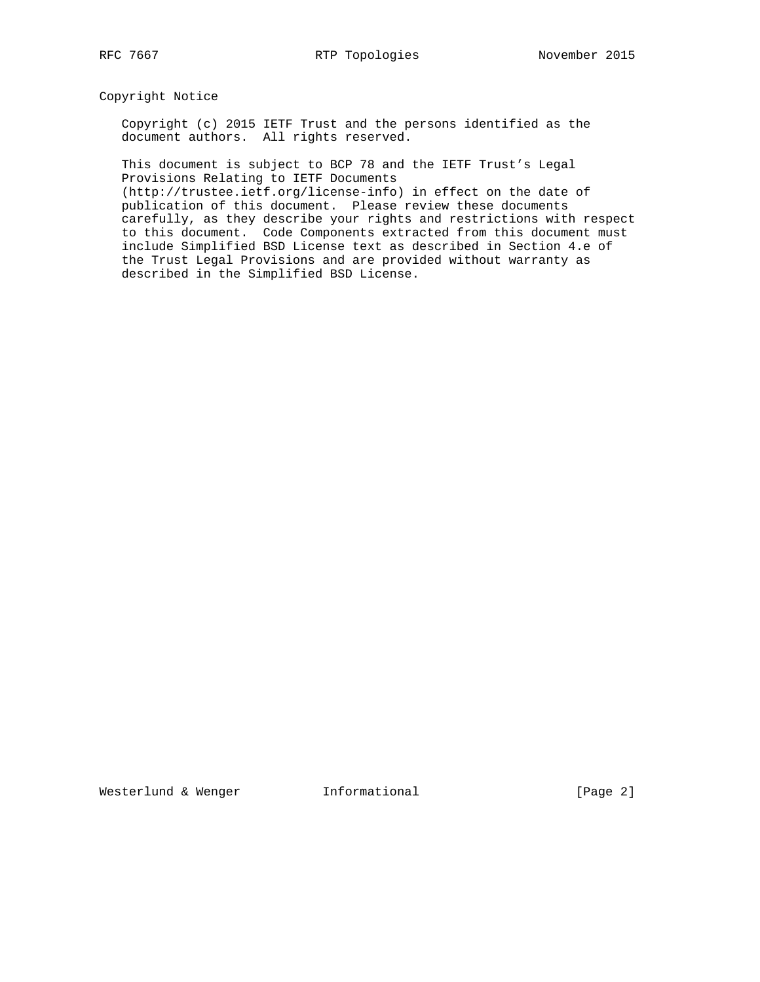Copyright Notice

 Copyright (c) 2015 IETF Trust and the persons identified as the document authors. All rights reserved.

 This document is subject to BCP 78 and the IETF Trust's Legal Provisions Relating to IETF Documents

 (http://trustee.ietf.org/license-info) in effect on the date of publication of this document. Please review these documents carefully, as they describe your rights and restrictions with respect to this document. Code Components extracted from this document must include Simplified BSD License text as described in Section 4.e of the Trust Legal Provisions and are provided without warranty as described in the Simplified BSD License.

Westerlund & Wenger **Informational** [Page 2]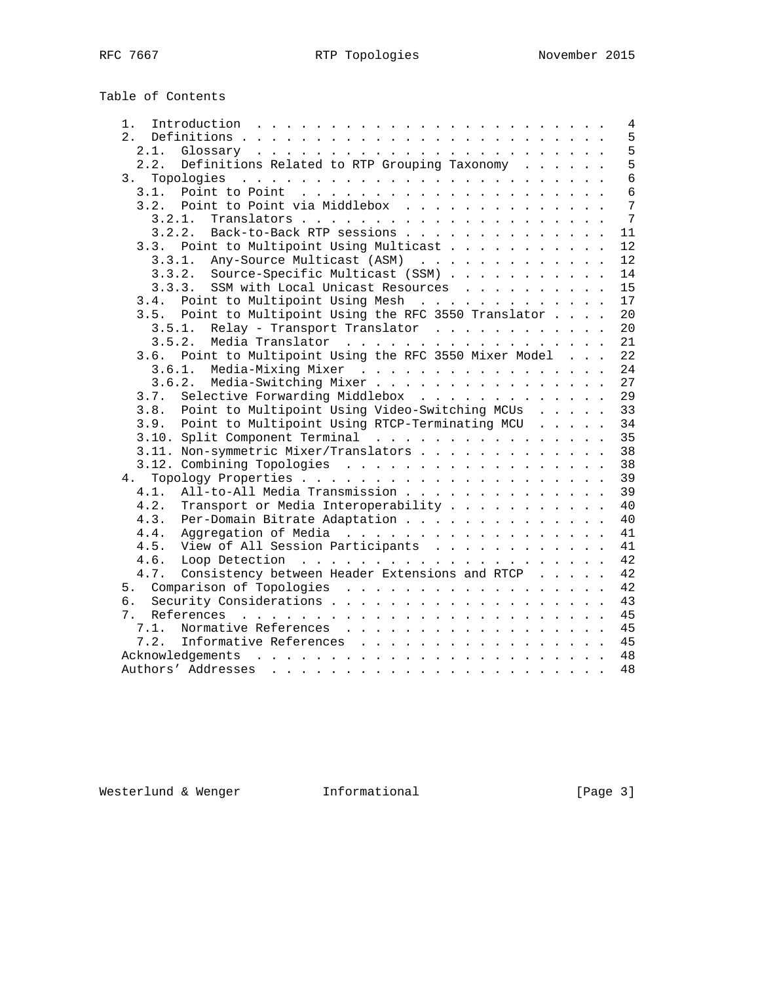Table of Contents

| 1.             |                                                                                              |  |  | $\overline{4}$  |
|----------------|----------------------------------------------------------------------------------------------|--|--|-----------------|
| 2.             |                                                                                              |  |  | 5               |
|                |                                                                                              |  |  | 5               |
| 2.2.           | Definitions Related to RTP Grouping Taxonomy                                                 |  |  | 5               |
| 3 <sup>1</sup> |                                                                                              |  |  | $6\overline{6}$ |
| 3.1.           | Point to Point $\ldots \ldots \ldots \ldots \ldots \ldots \ldots$                            |  |  | 6               |
|                | 3.2. Point to Point via Middlebox                                                            |  |  | $\overline{7}$  |
|                | $\verb+Translators + \ldots + \ldots + \ldots + \ldots + \ldots + \ldots + \ldots$<br>3.2.1. |  |  | $\overline{7}$  |
| 3.2.2.         | Back-to-Back RTP sessions                                                                    |  |  | 11              |
|                | 3.3. Point to Multipoint Using Multicast                                                     |  |  | 12              |
|                | 3.3.1. Any-Source Multicast (ASM)                                                            |  |  | 12              |
|                | 3.3.2. Source-Specific Multicast (SSM)                                                       |  |  | 14              |
|                | SSM with Local Unicast Resources<br>3.3.3.                                                   |  |  | 15              |
|                | 3.4. Point to Multipoint Using Mesh                                                          |  |  | 17              |
| 3.5.           | Point to Multipoint Using the RFC 3550 Translator                                            |  |  | 20              |
| 3.5.1.         | Relay - Transport Translator                                                                 |  |  | 20              |
| 3.5.2.         | Media Translator                                                                             |  |  | 21              |
|                | 3.6. Point to Multipoint Using the RFC 3550 Mixer Model                                      |  |  | 22              |
|                |                                                                                              |  |  |                 |
|                | 3.6.1. Media-Mixing Mixer                                                                    |  |  | 24              |
|                | 3.6.2. Media-Switching Mixer                                                                 |  |  | 27              |
| 3.7.           | Selective Forwarding Middlebox                                                               |  |  | 29              |
| 3.8.           | Point to Multipoint Using Video-Switching MCUs                                               |  |  | 33              |
|                | 3.9. Point to Multipoint Using RTCP-Terminating MCU                                          |  |  | 34              |
|                |                                                                                              |  |  | 35              |
|                | 3.11. Non-symmetric Mixer/Translators                                                        |  |  | 38              |
|                |                                                                                              |  |  | 38              |
|                |                                                                                              |  |  | 39              |
| 4.1.           | All-to-All Media Transmission                                                                |  |  | 39              |
| 4.2.           | Transport or Media Interoperability                                                          |  |  | 40              |
| 4.3.           | Per-Domain Bitrate Adaptation                                                                |  |  | 40              |
| 4.4.           | Aggregation of Media                                                                         |  |  | 41              |
| 4.5.           | View of All Session Participants                                                             |  |  | 41              |
| 4.6.           |                                                                                              |  |  | 42              |
| 4.7.           | Consistency between Header Extensions and RTCP                                               |  |  | 42              |
|                |                                                                                              |  |  | 42              |
| 6.             |                                                                                              |  |  | 43              |
| 7.             |                                                                                              |  |  | 45              |
| 7.1.           | Normative References                                                                         |  |  | 45              |
| 7.2.           | Informative References                                                                       |  |  | 45              |
|                |                                                                                              |  |  |                 |
|                |                                                                                              |  |  | 48              |
|                |                                                                                              |  |  |                 |

Westerlund & Wenger **Informational Informational** [Page 3]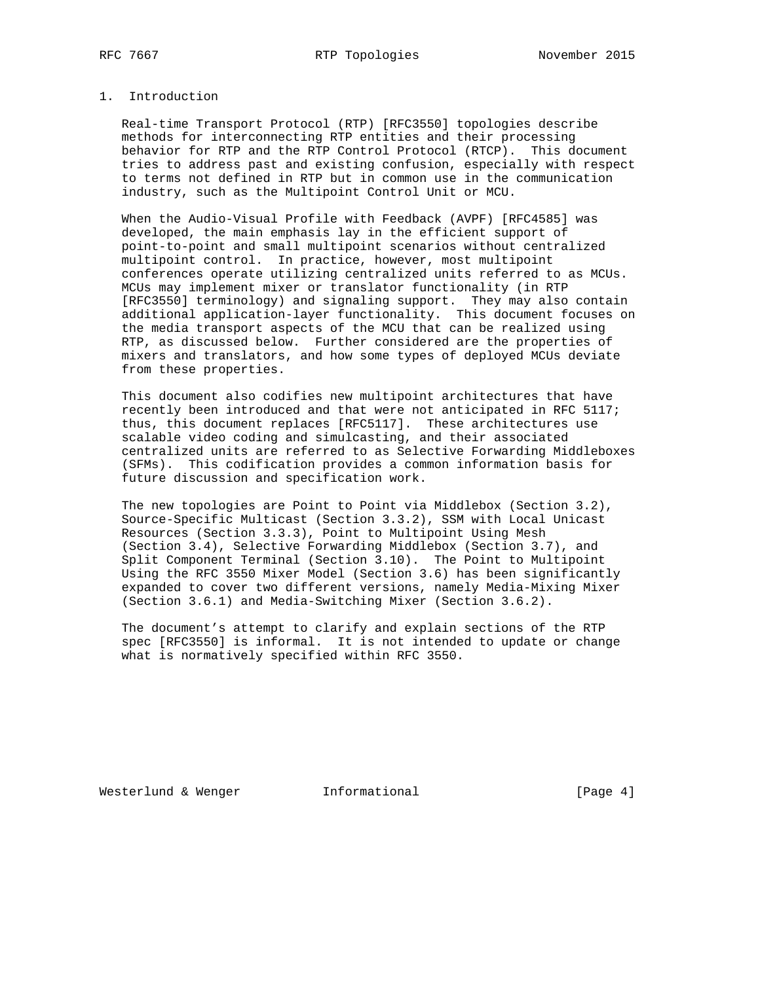### 1. Introduction

 Real-time Transport Protocol (RTP) [RFC3550] topologies describe methods for interconnecting RTP entities and their processing behavior for RTP and the RTP Control Protocol (RTCP). This document tries to address past and existing confusion, especially with respect to terms not defined in RTP but in common use in the communication industry, such as the Multipoint Control Unit or MCU.

 When the Audio-Visual Profile with Feedback (AVPF) [RFC4585] was developed, the main emphasis lay in the efficient support of point-to-point and small multipoint scenarios without centralized multipoint control. In practice, however, most multipoint conferences operate utilizing centralized units referred to as MCUs. MCUs may implement mixer or translator functionality (in RTP [RFC3550] terminology) and signaling support. They may also contain additional application-layer functionality. This document focuses on the media transport aspects of the MCU that can be realized using RTP, as discussed below. Further considered are the properties of mixers and translators, and how some types of deployed MCUs deviate from these properties.

 This document also codifies new multipoint architectures that have recently been introduced and that were not anticipated in RFC 5117; thus, this document replaces [RFC5117]. These architectures use scalable video coding and simulcasting, and their associated centralized units are referred to as Selective Forwarding Middleboxes (SFMs). This codification provides a common information basis for future discussion and specification work.

 The new topologies are Point to Point via Middlebox (Section 3.2), Source-Specific Multicast (Section 3.3.2), SSM with Local Unicast Resources (Section 3.3.3), Point to Multipoint Using Mesh (Section 3.4), Selective Forwarding Middlebox (Section 3.7), and Split Component Terminal (Section 3.10). The Point to Multipoint Using the RFC 3550 Mixer Model (Section 3.6) has been significantly expanded to cover two different versions, namely Media-Mixing Mixer (Section 3.6.1) and Media-Switching Mixer (Section 3.6.2).

 The document's attempt to clarify and explain sections of the RTP spec [RFC3550] is informal. It is not intended to update or change what is normatively specified within RFC 3550.

Westerlund & Wenger **Informational** [Page 4]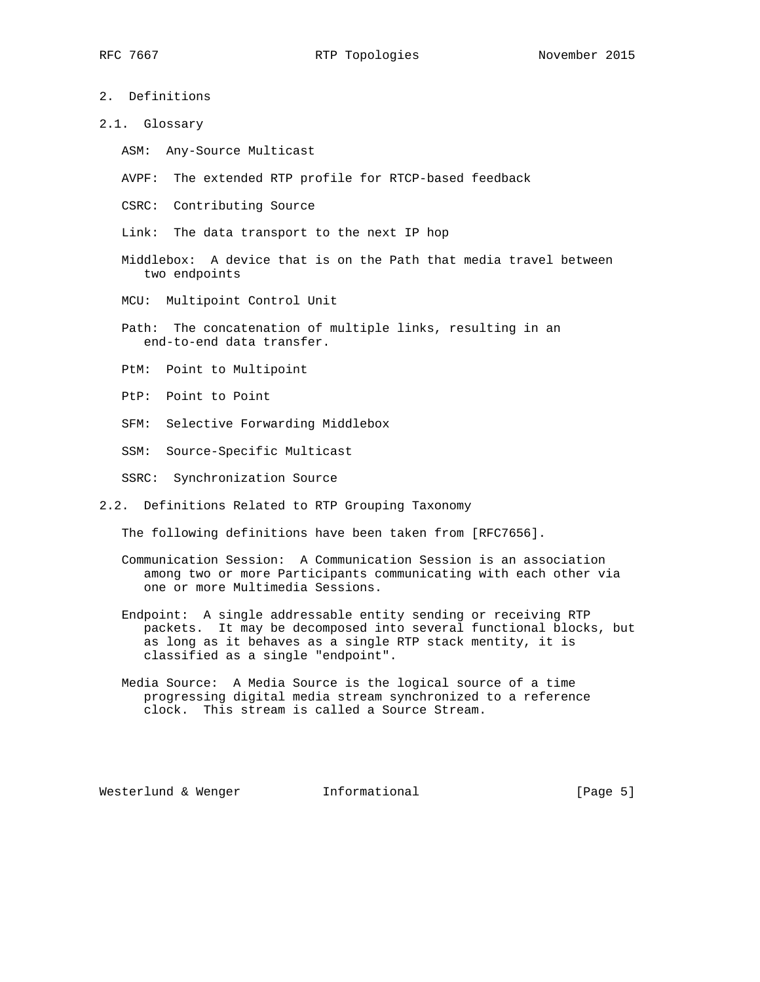- 2. Definitions
- 2.1. Glossary
	- ASM: Any-Source Multicast
	- AVPF: The extended RTP profile for RTCP-based feedback
	- CSRC: Contributing Source
	- Link: The data transport to the next IP hop
	- Middlebox: A device that is on the Path that media travel between two endpoints
	- MCU: Multipoint Control Unit
	- Path: The concatenation of multiple links, resulting in an end-to-end data transfer.
	- PtM: Point to Multipoint
	- PtP: Point to Point
	- SFM: Selective Forwarding Middlebox
	- SSM: Source-Specific Multicast
	- SSRC: Synchronization Source
- 2.2. Definitions Related to RTP Grouping Taxonomy

The following definitions have been taken from [RFC7656].

- Communication Session: A Communication Session is an association among two or more Participants communicating with each other via one or more Multimedia Sessions.
- Endpoint: A single addressable entity sending or receiving RTP packets. It may be decomposed into several functional blocks, but as long as it behaves as a single RTP stack mentity, it is classified as a single "endpoint".
- Media Source: A Media Source is the logical source of a time progressing digital media stream synchronized to a reference clock. This stream is called a Source Stream.

Westerlund & Wenger **Informational Informational** [Page 5]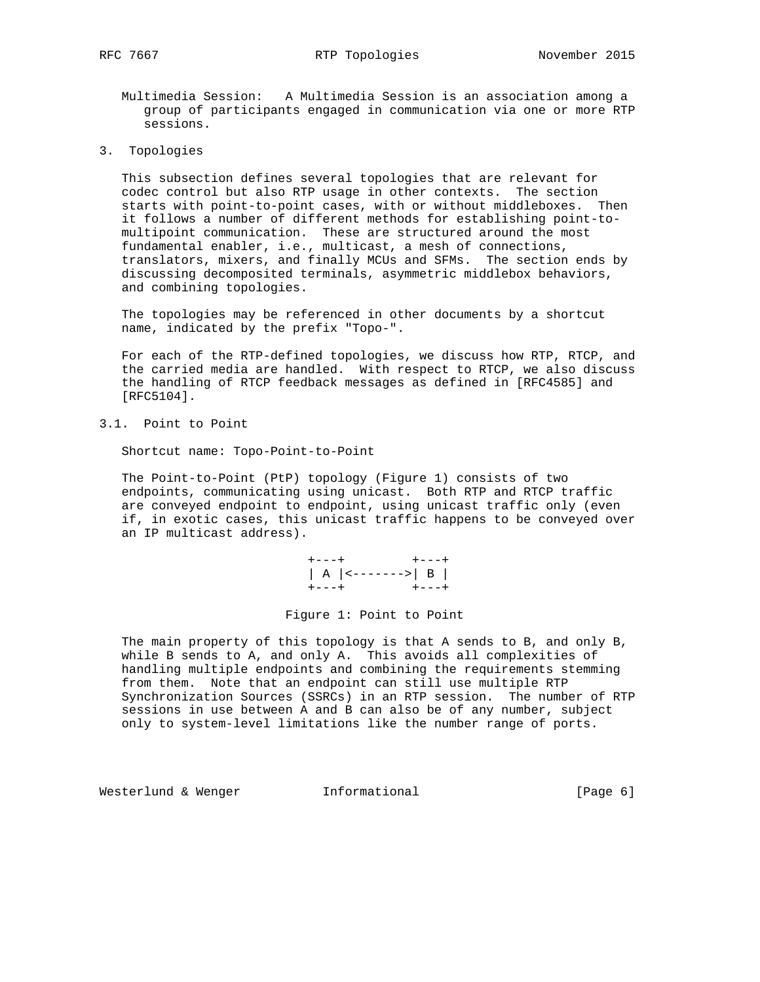- Multimedia Session: A Multimedia Session is an association among a group of participants engaged in communication via one or more RTP sessions.
- 3. Topologies

 This subsection defines several topologies that are relevant for codec control but also RTP usage in other contexts. The section starts with point-to-point cases, with or without middleboxes. Then it follows a number of different methods for establishing point-to multipoint communication. These are structured around the most fundamental enabler, i.e., multicast, a mesh of connections, translators, mixers, and finally MCUs and SFMs. The section ends by discussing decomposited terminals, asymmetric middlebox behaviors, and combining topologies.

 The topologies may be referenced in other documents by a shortcut name, indicated by the prefix "Topo-".

 For each of the RTP-defined topologies, we discuss how RTP, RTCP, and the carried media are handled. With respect to RTCP, we also discuss the handling of RTCP feedback messages as defined in [RFC4585] and [RFC5104].

3.1. Point to Point

Shortcut name: Topo-Point-to-Point

 The Point-to-Point (PtP) topology (Figure 1) consists of two endpoints, communicating using unicast. Both RTP and RTCP traffic are conveyed endpoint to endpoint, using unicast traffic only (even if, in exotic cases, this unicast traffic happens to be conveyed over an IP multicast address).

 +---+ +---+ | A |<------->| B | +---+ +---+

Figure 1: Point to Point

 The main property of this topology is that A sends to B, and only B, while B sends to A, and only A. This avoids all complexities of handling multiple endpoints and combining the requirements stemming from them. Note that an endpoint can still use multiple RTP Synchronization Sources (SSRCs) in an RTP session. The number of RTP sessions in use between A and B can also be of any number, subject only to system-level limitations like the number range of ports.

Westerlund & Wenger **Informational Informational** [Page 6]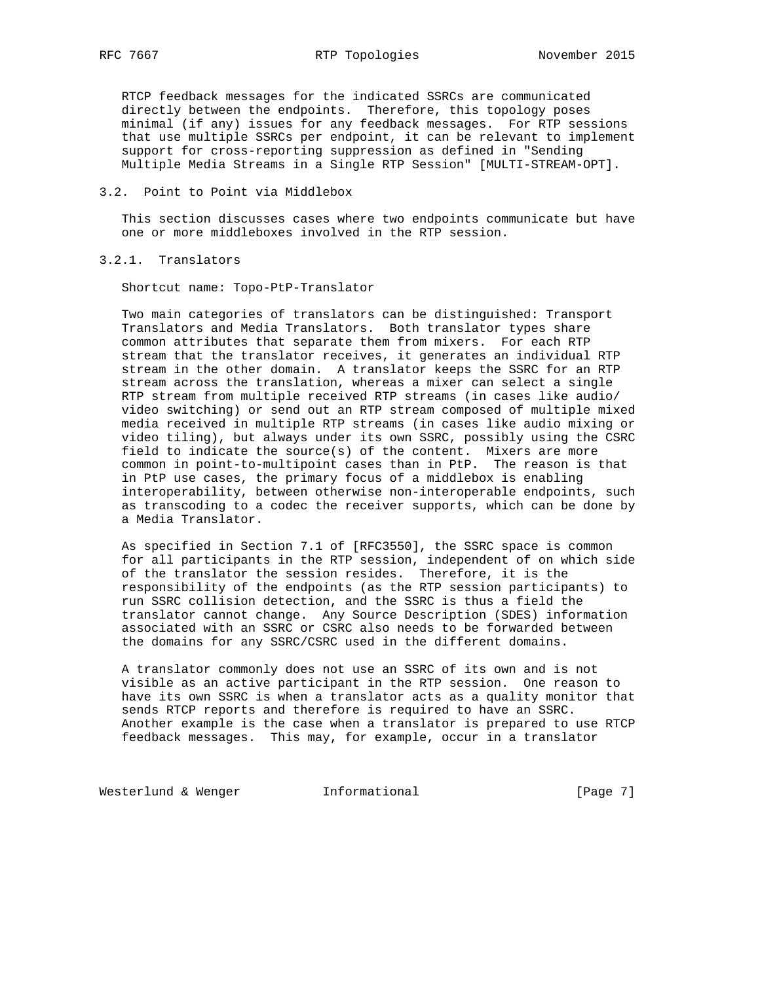RTCP feedback messages for the indicated SSRCs are communicated directly between the endpoints. Therefore, this topology poses minimal (if any) issues for any feedback messages. For RTP sessions that use multiple SSRCs per endpoint, it can be relevant to implement support for cross-reporting suppression as defined in "Sending Multiple Media Streams in a Single RTP Session" [MULTI-STREAM-OPT].

#### 3.2. Point to Point via Middlebox

 This section discusses cases where two endpoints communicate but have one or more middleboxes involved in the RTP session.

3.2.1. Translators

Shortcut name: Topo-PtP-Translator

 Two main categories of translators can be distinguished: Transport Translators and Media Translators. Both translator types share common attributes that separate them from mixers. For each RTP stream that the translator receives, it generates an individual RTP stream in the other domain. A translator keeps the SSRC for an RTP stream across the translation, whereas a mixer can select a single RTP stream from multiple received RTP streams (in cases like audio/ video switching) or send out an RTP stream composed of multiple mixed media received in multiple RTP streams (in cases like audio mixing or video tiling), but always under its own SSRC, possibly using the CSRC field to indicate the source(s) of the content. Mixers are more common in point-to-multipoint cases than in PtP. The reason is that in PtP use cases, the primary focus of a middlebox is enabling interoperability, between otherwise non-interoperable endpoints, such as transcoding to a codec the receiver supports, which can be done by a Media Translator.

 As specified in Section 7.1 of [RFC3550], the SSRC space is common for all participants in the RTP session, independent of on which side of the translator the session resides. Therefore, it is the responsibility of the endpoints (as the RTP session participants) to run SSRC collision detection, and the SSRC is thus a field the translator cannot change. Any Source Description (SDES) information associated with an SSRC or CSRC also needs to be forwarded between the domains for any SSRC/CSRC used in the different domains.

 A translator commonly does not use an SSRC of its own and is not visible as an active participant in the RTP session. One reason to have its own SSRC is when a translator acts as a quality monitor that sends RTCP reports and therefore is required to have an SSRC. Another example is the case when a translator is prepared to use RTCP feedback messages. This may, for example, occur in a translator

Westerlund & Wenger **Informational** [Page 7]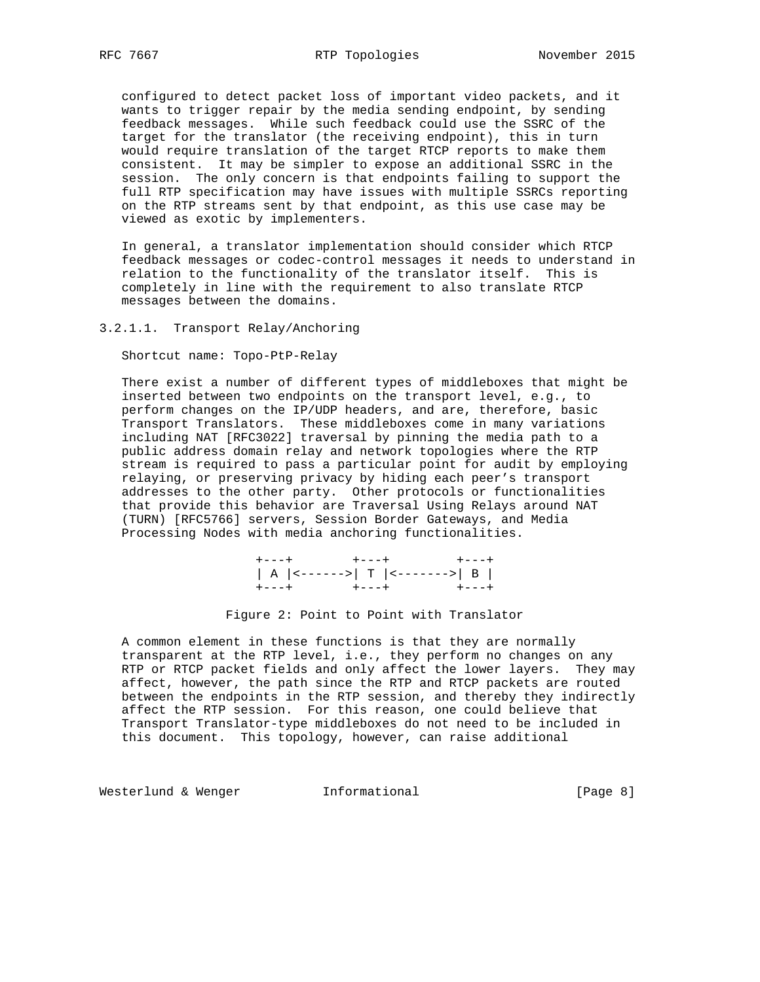configured to detect packet loss of important video packets, and it wants to trigger repair by the media sending endpoint, by sending feedback messages. While such feedback could use the SSRC of the target for the translator (the receiving endpoint), this in turn would require translation of the target RTCP reports to make them consistent. It may be simpler to expose an additional SSRC in the session. The only concern is that endpoints failing to support the full RTP specification may have issues with multiple SSRCs reporting on the RTP streams sent by that endpoint, as this use case may be viewed as exotic by implementers.

 In general, a translator implementation should consider which RTCP feedback messages or codec-control messages it needs to understand in relation to the functionality of the translator itself. This is completely in line with the requirement to also translate RTCP messages between the domains.

# 3.2.1.1. Transport Relay/Anchoring

Shortcut name: Topo-PtP-Relay

 There exist a number of different types of middleboxes that might be inserted between two endpoints on the transport level, e.g., to perform changes on the IP/UDP headers, and are, therefore, basic Transport Translators. These middleboxes come in many variations including NAT [RFC3022] traversal by pinning the media path to a public address domain relay and network topologies where the RTP stream is required to pass a particular point for audit by employing relaying, or preserving privacy by hiding each peer's transport addresses to the other party. Other protocols or functionalities that provide this behavior are Traversal Using Relays around NAT (TURN) [RFC5766] servers, Session Border Gateways, and Media Processing Nodes with media anchoring functionalities.

 +---+ +---+ +---+ | A |<------>| T |<------->| B | +---+ +---+ +---+

#### Figure 2: Point to Point with Translator

 A common element in these functions is that they are normally transparent at the RTP level, i.e., they perform no changes on any RTP or RTCP packet fields and only affect the lower layers. They may affect, however, the path since the RTP and RTCP packets are routed between the endpoints in the RTP session, and thereby they indirectly affect the RTP session. For this reason, one could believe that Transport Translator-type middleboxes do not need to be included in this document. This topology, however, can raise additional

Westerlund & Wenger Thermational Theorem [Page 8]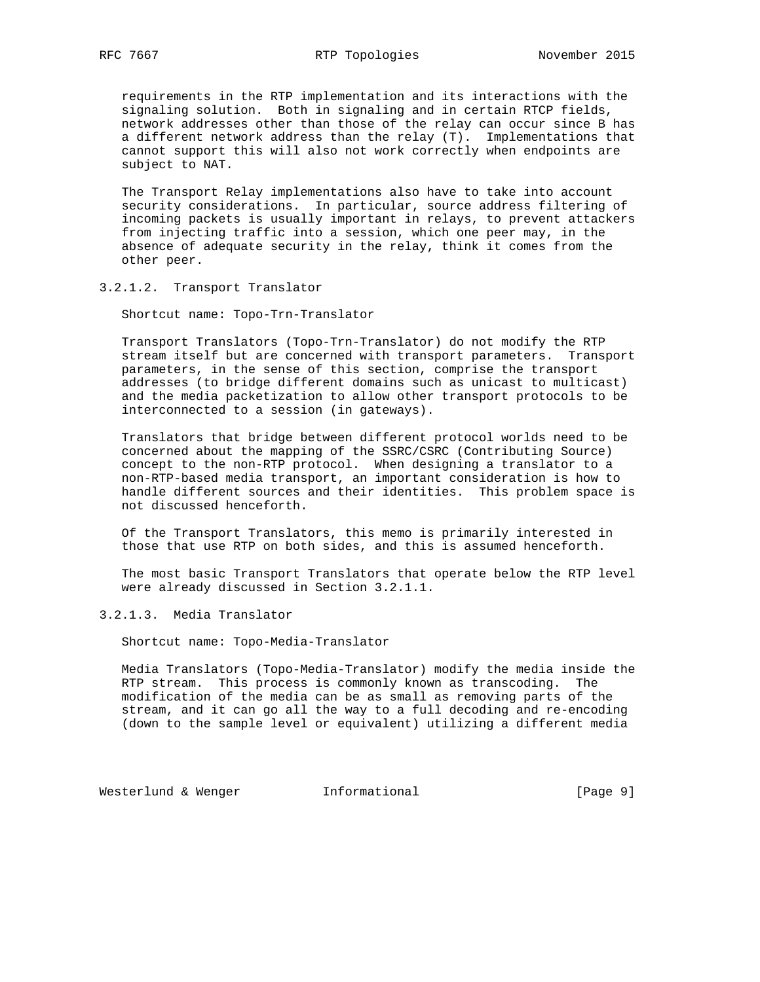requirements in the RTP implementation and its interactions with the signaling solution. Both in signaling and in certain RTCP fields, network addresses other than those of the relay can occur since B has a different network address than the relay (T). Implementations that cannot support this will also not work correctly when endpoints are subject to NAT.

 The Transport Relay implementations also have to take into account security considerations. In particular, source address filtering of incoming packets is usually important in relays, to prevent attackers from injecting traffic into a session, which one peer may, in the absence of adequate security in the relay, think it comes from the other peer.

3.2.1.2. Transport Translator

Shortcut name: Topo-Trn-Translator

 Transport Translators (Topo-Trn-Translator) do not modify the RTP stream itself but are concerned with transport parameters. Transport parameters, in the sense of this section, comprise the transport addresses (to bridge different domains such as unicast to multicast) and the media packetization to allow other transport protocols to be interconnected to a session (in gateways).

 Translators that bridge between different protocol worlds need to be concerned about the mapping of the SSRC/CSRC (Contributing Source) concept to the non-RTP protocol. When designing a translator to a non-RTP-based media transport, an important consideration is how to handle different sources and their identities. This problem space is not discussed henceforth.

 Of the Transport Translators, this memo is primarily interested in those that use RTP on both sides, and this is assumed henceforth.

 The most basic Transport Translators that operate below the RTP level were already discussed in Section 3.2.1.1.

3.2.1.3. Media Translator

Shortcut name: Topo-Media-Translator

 Media Translators (Topo-Media-Translator) modify the media inside the RTP stream. This process is commonly known as transcoding. The modification of the media can be as small as removing parts of the stream, and it can go all the way to a full decoding and re-encoding (down to the sample level or equivalent) utilizing a different media

Westerlund & Wenger **Informational** [Page 9]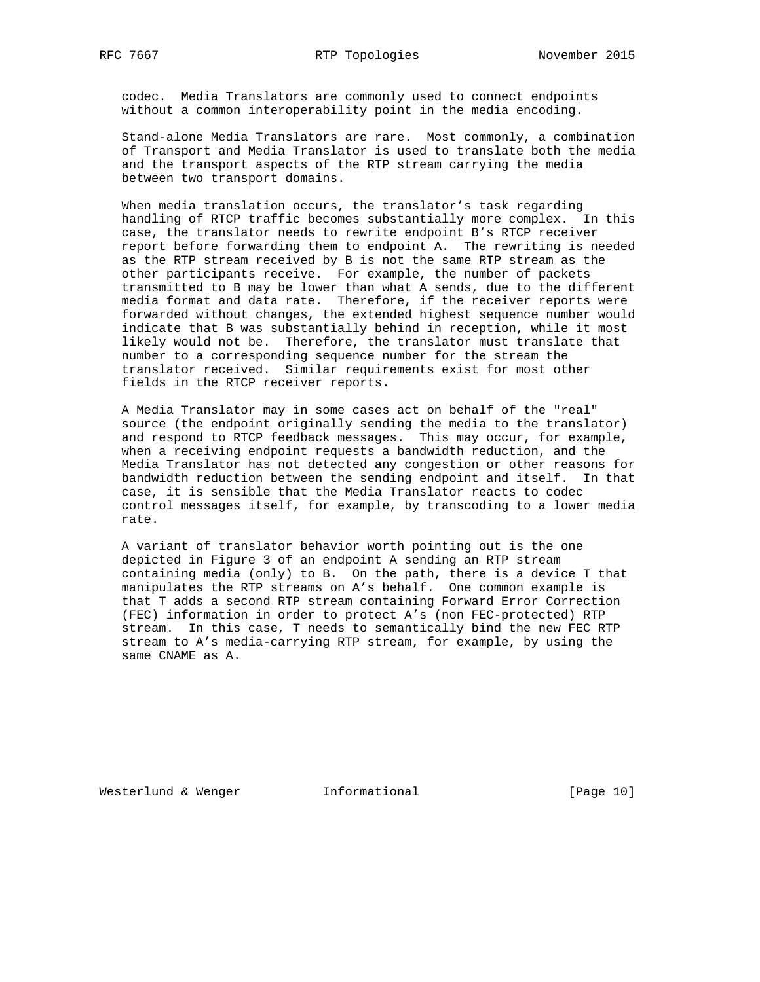codec. Media Translators are commonly used to connect endpoints without a common interoperability point in the media encoding.

 Stand-alone Media Translators are rare. Most commonly, a combination of Transport and Media Translator is used to translate both the media and the transport aspects of the RTP stream carrying the media between two transport domains.

When media translation occurs, the translator's task regarding handling of RTCP traffic becomes substantially more complex. In this case, the translator needs to rewrite endpoint B's RTCP receiver report before forwarding them to endpoint A. The rewriting is needed as the RTP stream received by B is not the same RTP stream as the other participants receive. For example, the number of packets transmitted to B may be lower than what A sends, due to the different media format and data rate. Therefore, if the receiver reports were forwarded without changes, the extended highest sequence number would indicate that B was substantially behind in reception, while it most likely would not be. Therefore, the translator must translate that number to a corresponding sequence number for the stream the translator received. Similar requirements exist for most other fields in the RTCP receiver reports.

 A Media Translator may in some cases act on behalf of the "real" source (the endpoint originally sending the media to the translator) and respond to RTCP feedback messages. This may occur, for example, when a receiving endpoint requests a bandwidth reduction, and the Media Translator has not detected any congestion or other reasons for bandwidth reduction between the sending endpoint and itself. In that case, it is sensible that the Media Translator reacts to codec control messages itself, for example, by transcoding to a lower media rate.

 A variant of translator behavior worth pointing out is the one depicted in Figure 3 of an endpoint A sending an RTP stream containing media (only) to B. On the path, there is a device T that manipulates the RTP streams on A's behalf. One common example is that T adds a second RTP stream containing Forward Error Correction (FEC) information in order to protect A's (non FEC-protected) RTP stream. In this case, T needs to semantically bind the new FEC RTP stream to A's media-carrying RTP stream, for example, by using the same CNAME as A.

Westerlund & Wenger **Informational** [Page 10]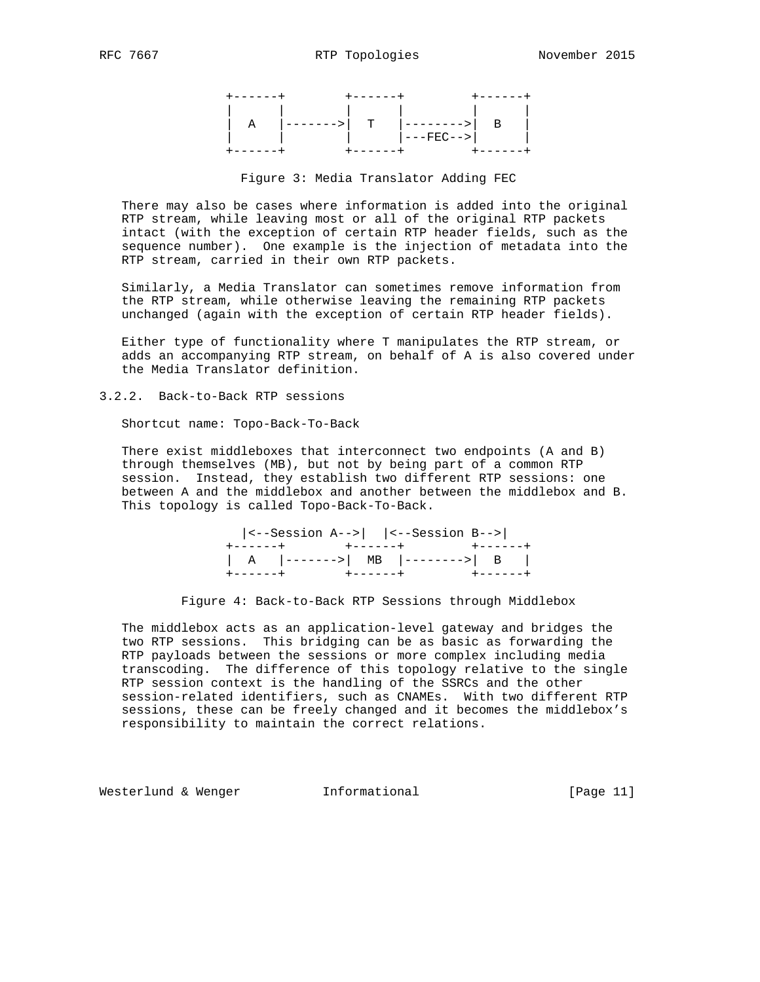| A |  |                                            |  |
|---|--|--------------------------------------------|--|
|   |  | ------>  T  -------->  B  <br>   ---FEC--> |  |
|   |  |                                            |  |

### Figure 3: Media Translator Adding FEC

 There may also be cases where information is added into the original RTP stream, while leaving most or all of the original RTP packets intact (with the exception of certain RTP header fields, such as the sequence number). One example is the injection of metadata into the RTP stream, carried in their own RTP packets.

 Similarly, a Media Translator can sometimes remove information from the RTP stream, while otherwise leaving the remaining RTP packets unchanged (again with the exception of certain RTP header fields).

 Either type of functionality where T manipulates the RTP stream, or adds an accompanying RTP stream, on behalf of A is also covered under the Media Translator definition.

3.2.2. Back-to-Back RTP sessions

Shortcut name: Topo-Back-To-Back

 There exist middleboxes that interconnect two endpoints (A and B) through themselves (MB), but not by being part of a common RTP session. Instead, they establish two different RTP sessions: one between A and the middlebox and another between the middlebox and B. This topology is called Topo-Back-To-Back.

| $ \left\langle \text{-}-\text{Session A}\right\rangle - \left  \text{ -}-\text{Session B}\right $ |                                           |
|---------------------------------------------------------------------------------------------------|-------------------------------------------|
| +------+      +------+      +------+                                                              |                                           |
|                                                                                                   | $  A  $ -------> $MB  $ --------> $  B  $ |
|                                                                                                   |                                           |

Figure 4: Back-to-Back RTP Sessions through Middlebox

 The middlebox acts as an application-level gateway and bridges the two RTP sessions. This bridging can be as basic as forwarding the RTP payloads between the sessions or more complex including media transcoding. The difference of this topology relative to the single RTP session context is the handling of the SSRCs and the other session-related identifiers, such as CNAMEs. With two different RTP sessions, these can be freely changed and it becomes the middlebox's responsibility to maintain the correct relations.

Westerlund & Wenger **Informational Informational** [Page 11]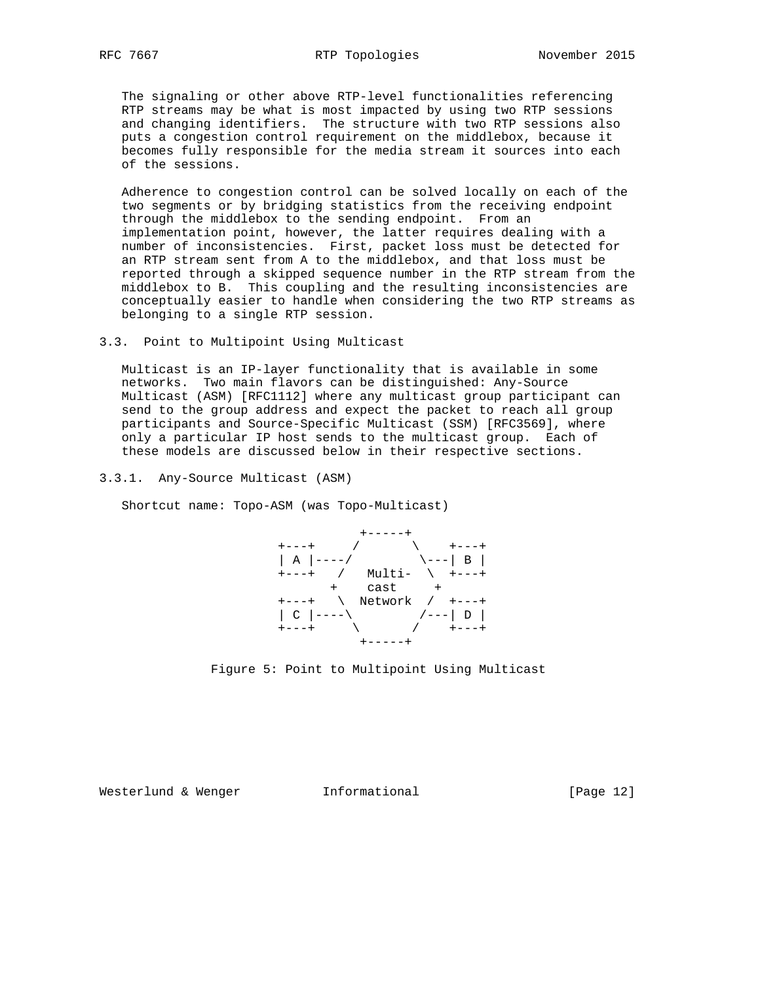The signaling or other above RTP-level functionalities referencing RTP streams may be what is most impacted by using two RTP sessions and changing identifiers. The structure with two RTP sessions also puts a congestion control requirement on the middlebox, because it becomes fully responsible for the media stream it sources into each of the sessions.

 Adherence to congestion control can be solved locally on each of the two segments or by bridging statistics from the receiving endpoint through the middlebox to the sending endpoint. From an implementation point, however, the latter requires dealing with a number of inconsistencies. First, packet loss must be detected for an RTP stream sent from A to the middlebox, and that loss must be reported through a skipped sequence number in the RTP stream from the middlebox to B. This coupling and the resulting inconsistencies are conceptually easier to handle when considering the two RTP streams as belonging to a single RTP session.

3.3. Point to Multipoint Using Multicast

 Multicast is an IP-layer functionality that is available in some networks. Two main flavors can be distinguished: Any-Source Multicast (ASM) [RFC1112] where any multicast group participant can send to the group address and expect the packet to reach all group participants and Source-Specific Multicast (SSM) [RFC3569], where only a particular IP host sends to the multicast group. Each of these models are discussed below in their respective sections.

3.3.1. Any-Source Multicast (ASM)

Shortcut name: Topo-ASM (was Topo-Multicast)





Westerlund & Wenger **Informational** [Page 12]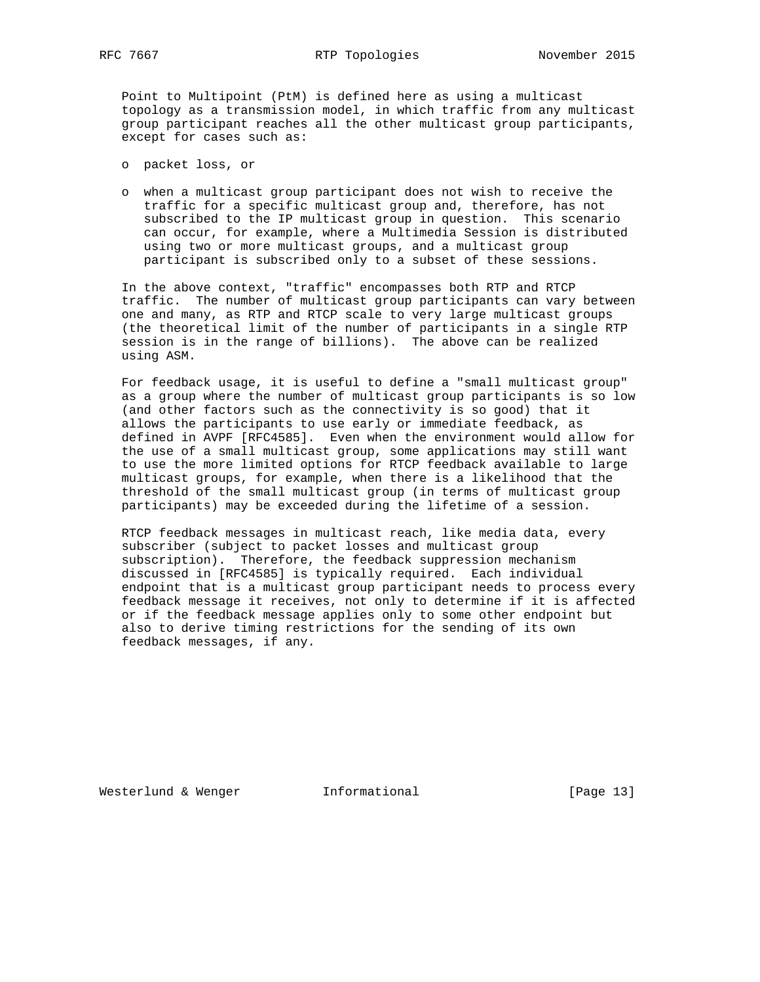RFC 7667 RTP Topologies November 2015

 Point to Multipoint (PtM) is defined here as using a multicast topology as a transmission model, in which traffic from any multicast group participant reaches all the other multicast group participants, except for cases such as:

- o packet loss, or
- o when a multicast group participant does not wish to receive the traffic for a specific multicast group and, therefore, has not subscribed to the IP multicast group in question. This scenario can occur, for example, where a Multimedia Session is distributed using two or more multicast groups, and a multicast group participant is subscribed only to a subset of these sessions.

 In the above context, "traffic" encompasses both RTP and RTCP traffic. The number of multicast group participants can vary between one and many, as RTP and RTCP scale to very large multicast groups (the theoretical limit of the number of participants in a single RTP session is in the range of billions). The above can be realized using ASM.

 For feedback usage, it is useful to define a "small multicast group" as a group where the number of multicast group participants is so low (and other factors such as the connectivity is so good) that it allows the participants to use early or immediate feedback, as defined in AVPF [RFC4585]. Even when the environment would allow for the use of a small multicast group, some applications may still want to use the more limited options for RTCP feedback available to large multicast groups, for example, when there is a likelihood that the threshold of the small multicast group (in terms of multicast group participants) may be exceeded during the lifetime of a session.

 RTCP feedback messages in multicast reach, like media data, every subscriber (subject to packet losses and multicast group subscription). Therefore, the feedback suppression mechanism discussed in [RFC4585] is typically required. Each individual endpoint that is a multicast group participant needs to process every feedback message it receives, not only to determine if it is affected or if the feedback message applies only to some other endpoint but also to derive timing restrictions for the sending of its own feedback messages, if any.

Westerlund & Wenger **Informational** [Page 13]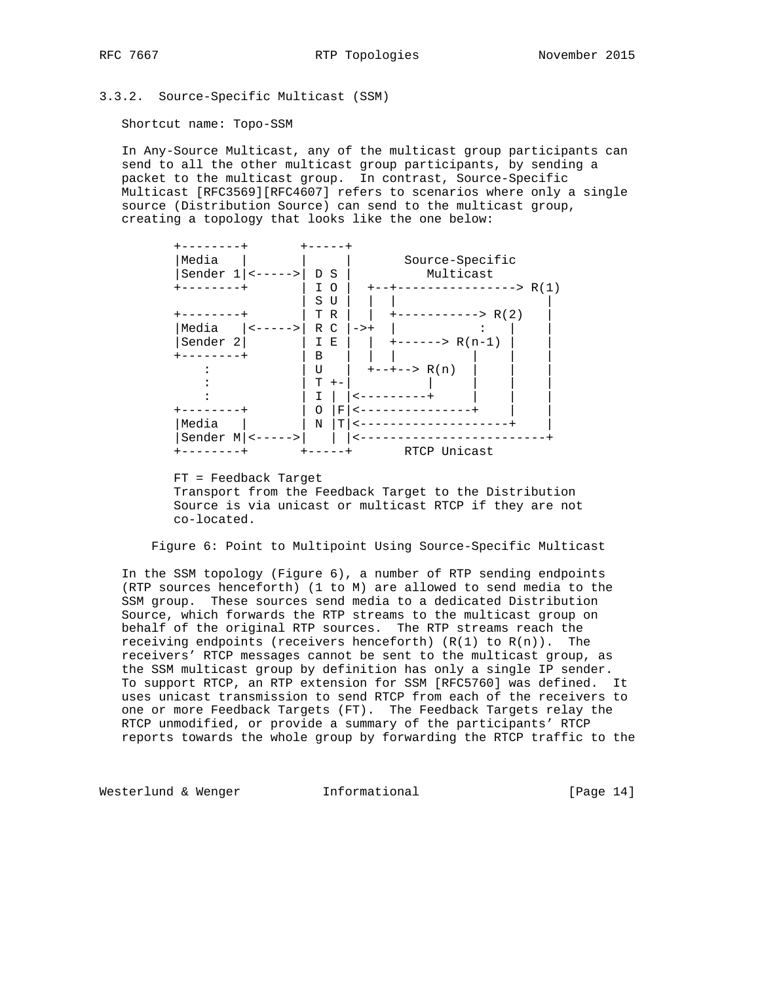3.3.2. Source-Specific Multicast (SSM)

Shortcut name: Topo-SSM

 In Any-Source Multicast, any of the multicast group participants can send to all the other multicast group participants, by sending a packet to the multicast group. In contrast, Source-Specific Multicast [RFC3569][RFC4607] refers to scenarios where only a single source (Distribution Source) can send to the multicast group, creating a topology that looks like the one below:



 FT = Feedback Target Transport from the Feedback Target to the Distribution Source is via unicast or multicast RTCP if they are not co-located.

Figure 6: Point to Multipoint Using Source-Specific Multicast

 In the SSM topology (Figure 6), a number of RTP sending endpoints (RTP sources henceforth) (1 to M) are allowed to send media to the SSM group. These sources send media to a dedicated Distribution Source, which forwards the RTP streams to the multicast group on behalf of the original RTP sources. The RTP streams reach the receiving endpoints (receivers henceforth)  $(R(1)$  to  $R(n))$ . The receivers' RTCP messages cannot be sent to the multicast group, as the SSM multicast group by definition has only a single IP sender. To support RTCP, an RTP extension for SSM [RFC5760] was defined. It uses unicast transmission to send RTCP from each of the receivers to one or more Feedback Targets (FT). The Feedback Targets relay the RTCP unmodified, or provide a summary of the participants' RTCP reports towards the whole group by forwarding the RTCP traffic to the

Westerlund & Wenger **Informational** [Page 14]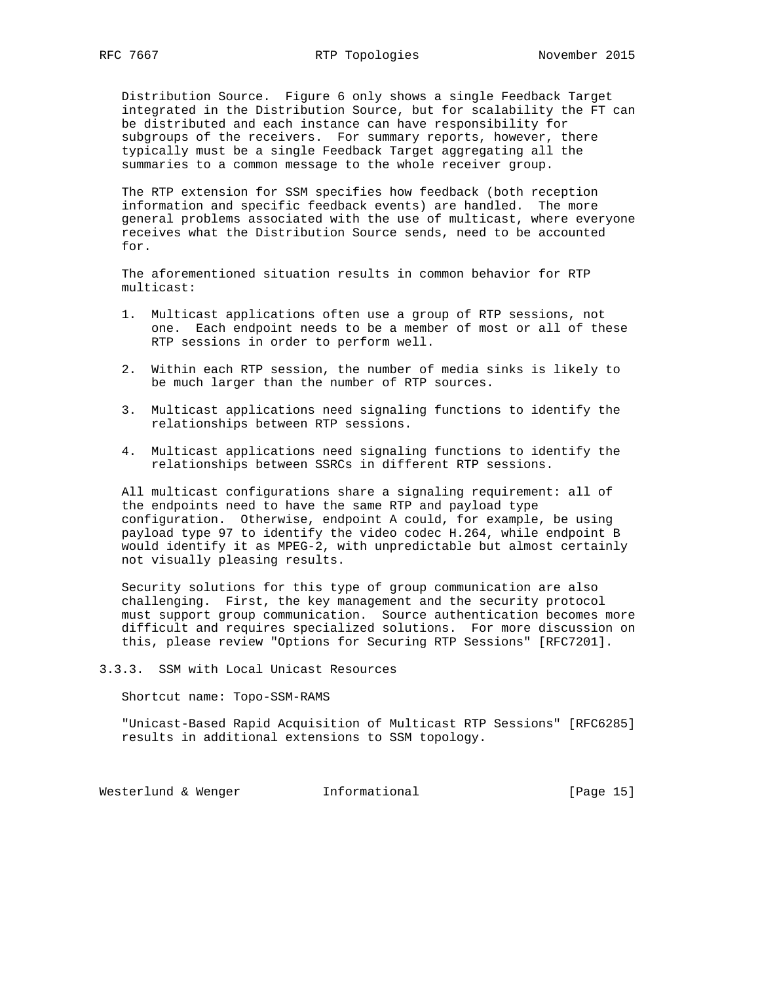Distribution Source. Figure 6 only shows a single Feedback Target integrated in the Distribution Source, but for scalability the FT can be distributed and each instance can have responsibility for subgroups of the receivers. For summary reports, however, there typically must be a single Feedback Target aggregating all the summaries to a common message to the whole receiver group.

 The RTP extension for SSM specifies how feedback (both reception information and specific feedback events) are handled. The more general problems associated with the use of multicast, where everyone receives what the Distribution Source sends, need to be accounted for.

 The aforementioned situation results in common behavior for RTP multicast:

- 1. Multicast applications often use a group of RTP sessions, not one. Each endpoint needs to be a member of most or all of these RTP sessions in order to perform well.
- 2. Within each RTP session, the number of media sinks is likely to be much larger than the number of RTP sources.
- 3. Multicast applications need signaling functions to identify the relationships between RTP sessions.
- 4. Multicast applications need signaling functions to identify the relationships between SSRCs in different RTP sessions.

 All multicast configurations share a signaling requirement: all of the endpoints need to have the same RTP and payload type configuration. Otherwise, endpoint A could, for example, be using payload type 97 to identify the video codec H.264, while endpoint B would identify it as MPEG-2, with unpredictable but almost certainly not visually pleasing results.

 Security solutions for this type of group communication are also challenging. First, the key management and the security protocol must support group communication. Source authentication becomes more difficult and requires specialized solutions. For more discussion on this, please review "Options for Securing RTP Sessions" [RFC7201].

3.3.3. SSM with Local Unicast Resources

Shortcut name: Topo-SSM-RAMS

 "Unicast-Based Rapid Acquisition of Multicast RTP Sessions" [RFC6285] results in additional extensions to SSM topology.

Westerlund & Wenger **Informational Informational** [Page 15]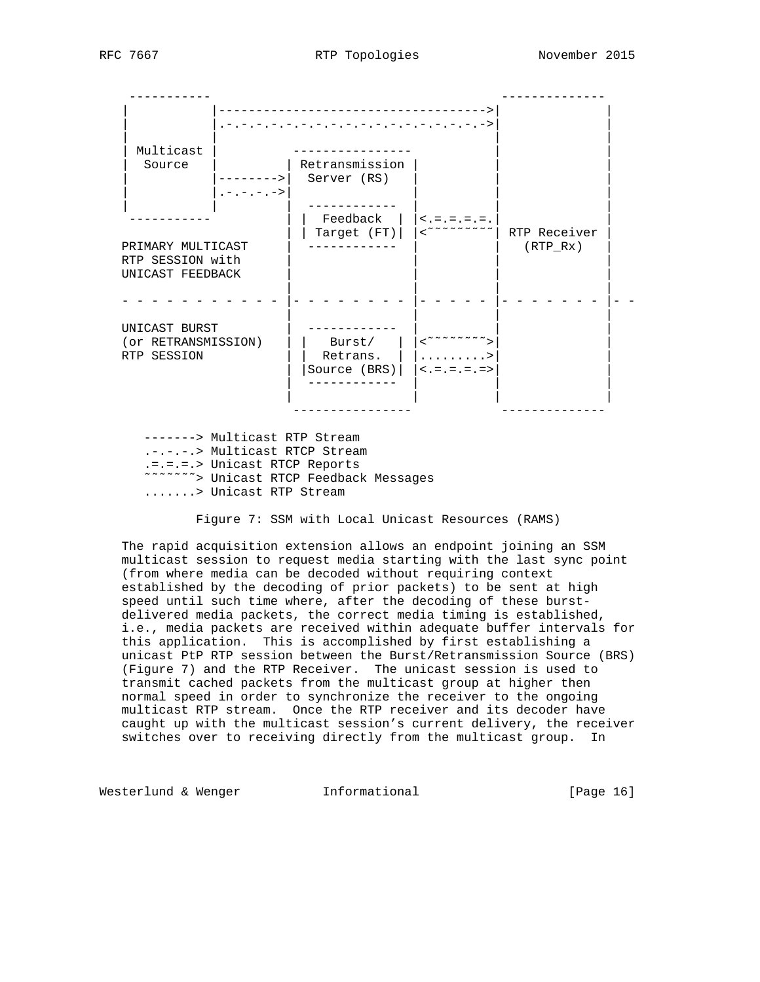----------- -------------- | |------------------------------------>| | | |.-.-.-.-.-.-.-.-.-.-.-.-.-.-.-.-.-.->| | | | | | | Multicast | ---------------- | | | Source | | Retransmission | | | | |-------->| Server (RS) | | |  $| .- .- .- .- \rangle |$  | | | ------------ | | | ----------- | | Feedback | |<.=.=.=.=.| | | | Target (FT)| |<˜˜˜˜˜˜˜˜˜| RTP Receiver | PRIMARY MULTICAST | ------------ | | (RTP\_Rx) | RTP SESSION with UNICAST FEEDBACK | | | | - - - - - - - - - - - |- - - - - - - - |- - - - - |- - - - - - - |- - | | | | UNICAST BURST | ------------ | | | (or RETRANSMISSION) | | Burst/ | |<˜˜˜˜˜˜˜˜>| | RTP SESSION | | Retrans. | | .........>| | | | |Source (BRS)| |<.=.=.=.=>| | | ------------ | | | | | | | ---------------- -------------- -------> Multicast RTP Stream .-.-.-.> Multicast RTCP Stream .=.=.=.> Unicast RTCP Reports ˜˜˜˜˜˜˜> Unicast RTCP Feedback Messages

.......> Unicast RTP Stream

Figure 7: SSM with Local Unicast Resources (RAMS)

 The rapid acquisition extension allows an endpoint joining an SSM multicast session to request media starting with the last sync point (from where media can be decoded without requiring context established by the decoding of prior packets) to be sent at high speed until such time where, after the decoding of these burst delivered media packets, the correct media timing is established, i.e., media packets are received within adequate buffer intervals for this application. This is accomplished by first establishing a unicast PtP RTP session between the Burst/Retransmission Source (BRS) (Figure 7) and the RTP Receiver. The unicast session is used to transmit cached packets from the multicast group at higher then normal speed in order to synchronize the receiver to the ongoing multicast RTP stream. Once the RTP receiver and its decoder have caught up with the multicast session's current delivery, the receiver switches over to receiving directly from the multicast group. In

Westerlund & Wenger **Informational** [Page 16]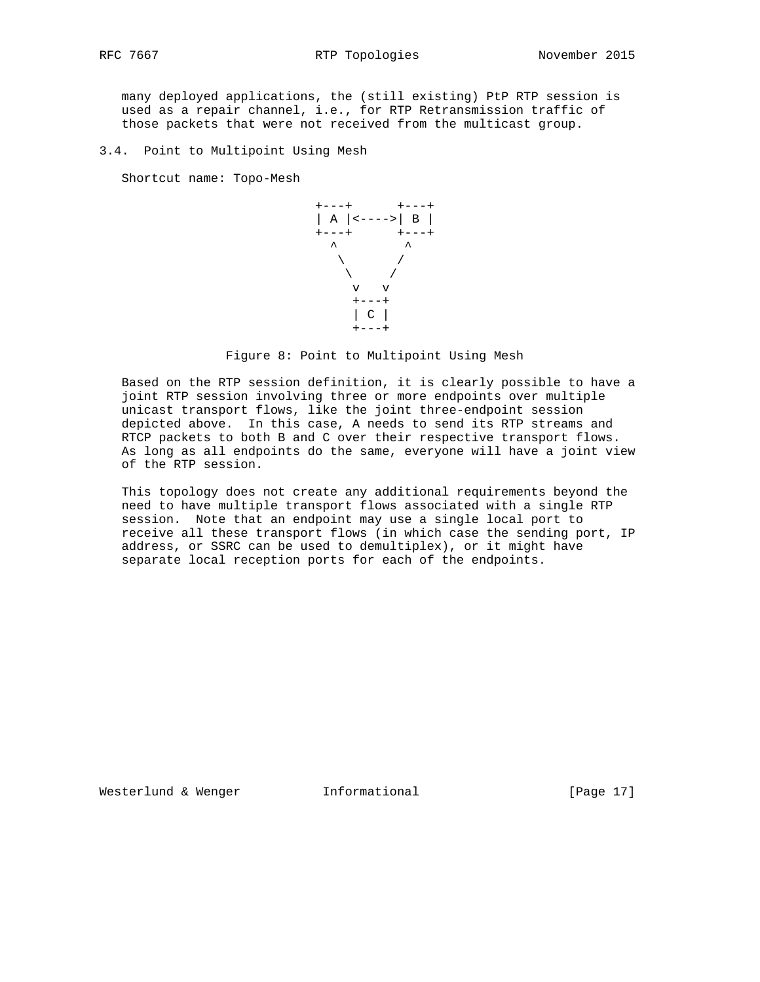many deployed applications, the (still existing) PtP RTP session is used as a repair channel, i.e., for RTP Retransmission traffic of those packets that were not received from the multicast group.

3.4. Point to Multipoint Using Mesh

Shortcut name: Topo-Mesh



Figure 8: Point to Multipoint Using Mesh

 Based on the RTP session definition, it is clearly possible to have a joint RTP session involving three or more endpoints over multiple unicast transport flows, like the joint three-endpoint session depicted above. In this case, A needs to send its RTP streams and RTCP packets to both B and C over their respective transport flows. As long as all endpoints do the same, everyone will have a joint view of the RTP session.

 This topology does not create any additional requirements beyond the need to have multiple transport flows associated with a single RTP session. Note that an endpoint may use a single local port to receive all these transport flows (in which case the sending port, IP address, or SSRC can be used to demultiplex), or it might have separate local reception ports for each of the endpoints.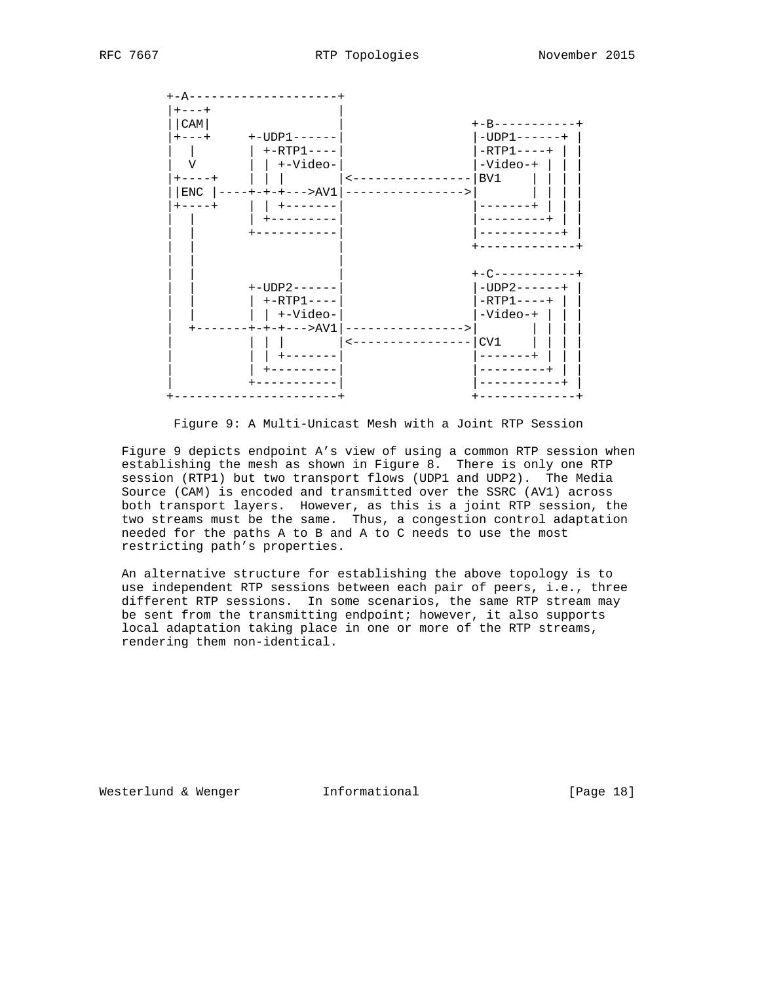

Figure 9: A Multi-Unicast Mesh with a Joint RTP Session

 Figure 9 depicts endpoint A's view of using a common RTP session when establishing the mesh as shown in Figure 8. There is only one RTP session (RTP1) but two transport flows (UDP1 and UDP2). The Media Source (CAM) is encoded and transmitted over the SSRC (AV1) across both transport layers. However, as this is a joint RTP session, the two streams must be the same. Thus, a congestion control adaptation needed for the paths A to B and A to C needs to use the most restricting path's properties.

 An alternative structure for establishing the above topology is to use independent RTP sessions between each pair of peers, i.e., three different RTP sessions. In some scenarios, the same RTP stream may be sent from the transmitting endpoint; however, it also supports local adaptation taking place in one or more of the RTP streams, rendering them non-identical.

Westerlund & Wenger **Informational** [Page 18]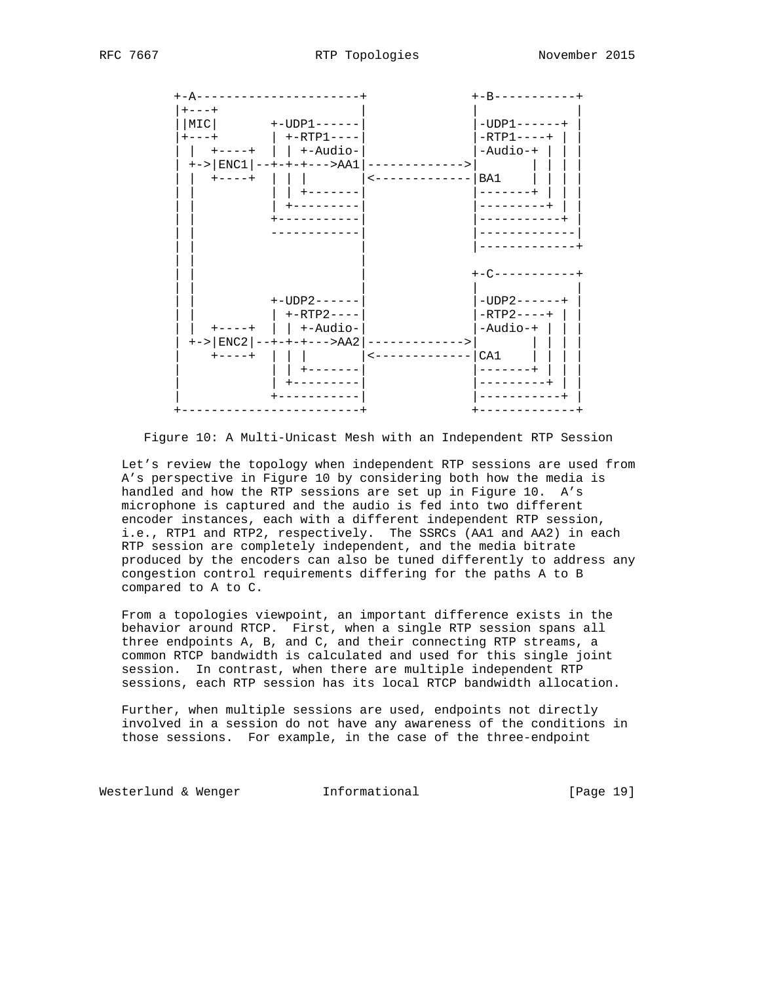

Figure 10: A Multi-Unicast Mesh with an Independent RTP Session

 Let's review the topology when independent RTP sessions are used from A's perspective in Figure 10 by considering both how the media is handled and how the RTP sessions are set up in Figure 10. A's microphone is captured and the audio is fed into two different encoder instances, each with a different independent RTP session, i.e., RTP1 and RTP2, respectively. The SSRCs (AA1 and AA2) in each RTP session are completely independent, and the media bitrate produced by the encoders can also be tuned differently to address any congestion control requirements differing for the paths A to B compared to A to C.

 From a topologies viewpoint, an important difference exists in the behavior around RTCP. First, when a single RTP session spans all three endpoints A, B, and C, and their connecting RTP streams, a common RTCP bandwidth is calculated and used for this single joint session. In contrast, when there are multiple independent RTP sessions, each RTP session has its local RTCP bandwidth allocation.

 Further, when multiple sessions are used, endpoints not directly involved in a session do not have any awareness of the conditions in those sessions. For example, in the case of the three-endpoint

Westerlund & Wenger **Informational** [Page 19]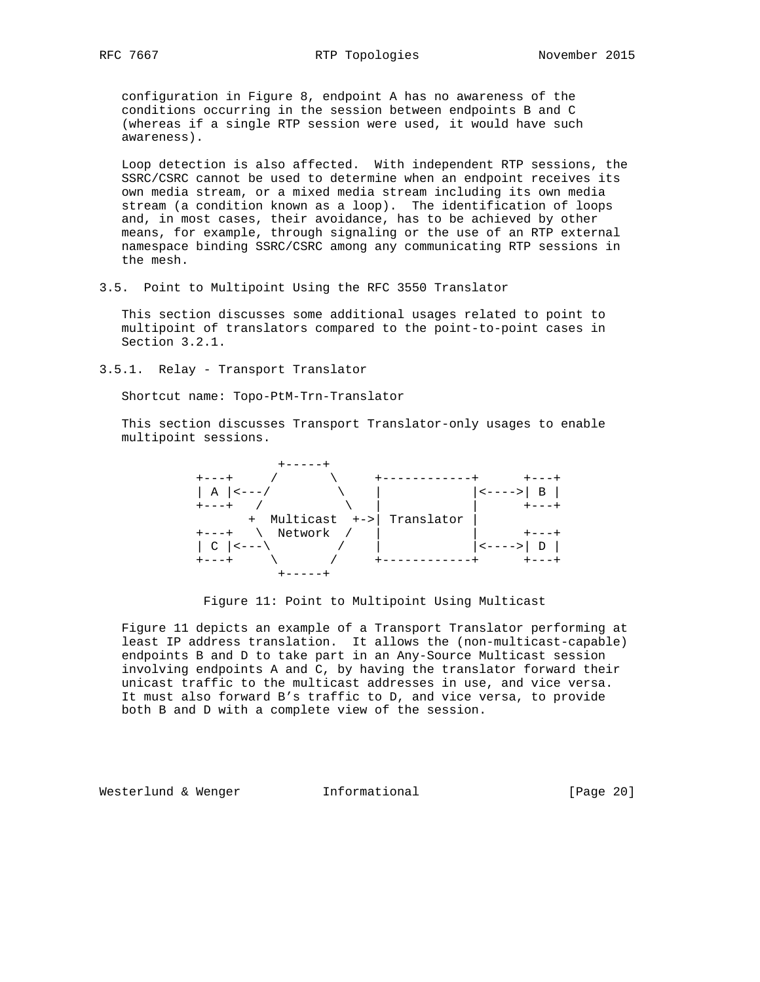configuration in Figure 8, endpoint A has no awareness of the conditions occurring in the session between endpoints B and C (whereas if a single RTP session were used, it would have such awareness).

 Loop detection is also affected. With independent RTP sessions, the SSRC/CSRC cannot be used to determine when an endpoint receives its own media stream, or a mixed media stream including its own media stream (a condition known as a loop). The identification of loops and, in most cases, their avoidance, has to be achieved by other means, for example, through signaling or the use of an RTP external namespace binding SSRC/CSRC among any communicating RTP sessions in the mesh.

3.5. Point to Multipoint Using the RFC 3550 Translator

 This section discusses some additional usages related to point to multipoint of translators compared to the point-to-point cases in Section 3.2.1.

3.5.1. Relay - Transport Translator

Shortcut name: Topo-PtM-Trn-Translator

 This section discusses Transport Translator-only usages to enable multipoint sessions.



Figure 11: Point to Multipoint Using Multicast

 Figure 11 depicts an example of a Transport Translator performing at least IP address translation. It allows the (non-multicast-capable) endpoints B and D to take part in an Any-Source Multicast session involving endpoints A and C, by having the translator forward their unicast traffic to the multicast addresses in use, and vice versa. It must also forward B's traffic to D, and vice versa, to provide both B and D with a complete view of the session.

Westerlund & Wenger **Informational Informational** [Page 20]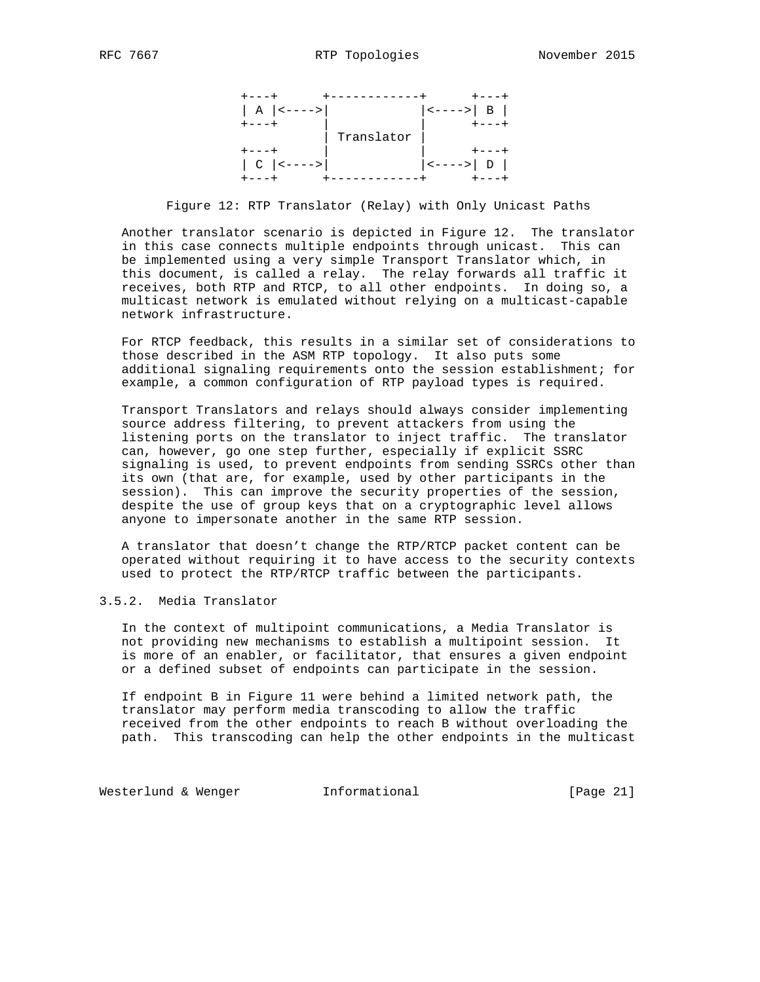

Figure 12: RTP Translator (Relay) with Only Unicast Paths

 Another translator scenario is depicted in Figure 12. The translator in this case connects multiple endpoints through unicast. This can be implemented using a very simple Transport Translator which, in this document, is called a relay. The relay forwards all traffic it receives, both RTP and RTCP, to all other endpoints. In doing so, a multicast network is emulated without relying on a multicast-capable network infrastructure.

 For RTCP feedback, this results in a similar set of considerations to those described in the ASM RTP topology. It also puts some additional signaling requirements onto the session establishment; for example, a common configuration of RTP payload types is required.

 Transport Translators and relays should always consider implementing source address filtering, to prevent attackers from using the listening ports on the translator to inject traffic. The translator can, however, go one step further, especially if explicit SSRC signaling is used, to prevent endpoints from sending SSRCs other than its own (that are, for example, used by other participants in the session). This can improve the security properties of the session, despite the use of group keys that on a cryptographic level allows anyone to impersonate another in the same RTP session.

 A translator that doesn't change the RTP/RTCP packet content can be operated without requiring it to have access to the security contexts used to protect the RTP/RTCP traffic between the participants.

# 3.5.2. Media Translator

 In the context of multipoint communications, a Media Translator is not providing new mechanisms to establish a multipoint session. It is more of an enabler, or facilitator, that ensures a given endpoint or a defined subset of endpoints can participate in the session.

 If endpoint B in Figure 11 were behind a limited network path, the translator may perform media transcoding to allow the traffic received from the other endpoints to reach B without overloading the path. This transcoding can help the other endpoints in the multicast

Westerlund & Wenger **Informational Informational** [Page 21]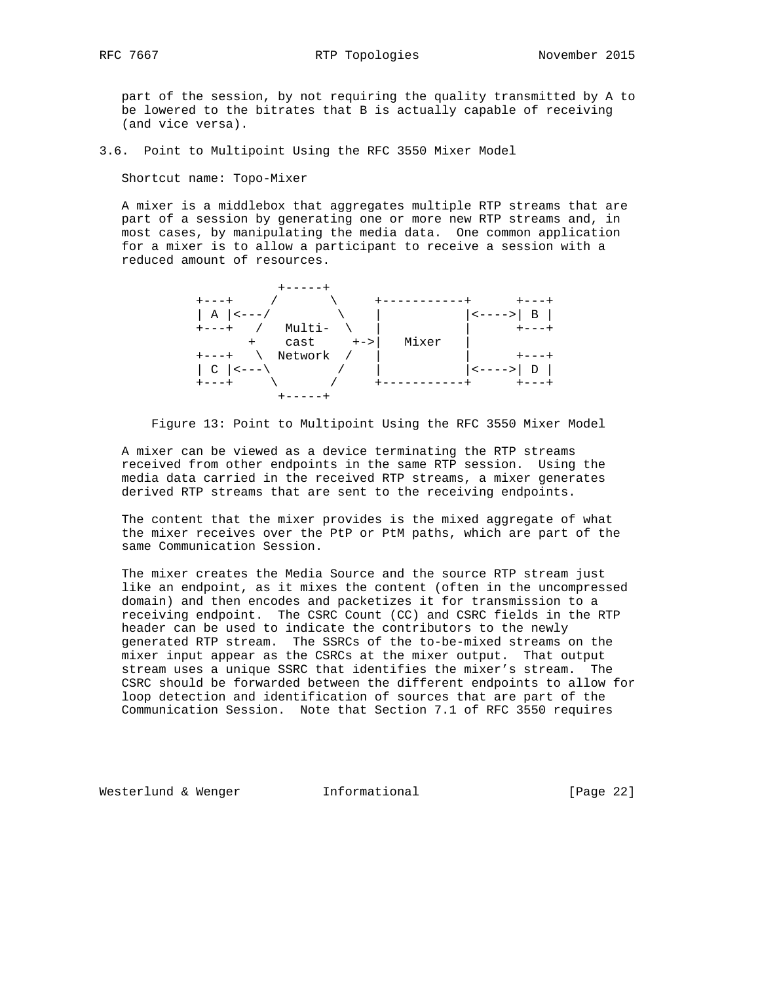part of the session, by not requiring the quality transmitted by A to be lowered to the bitrates that B is actually capable of receiving (and vice versa).

3.6. Point to Multipoint Using the RFC 3550 Mixer Model

Shortcut name: Topo-Mixer

 A mixer is a middlebox that aggregates multiple RTP streams that are part of a session by generating one or more new RTP streams and, in most cases, by manipulating the media data. One common application for a mixer is to allow a participant to receive a session with a reduced amount of resources.



Figure 13: Point to Multipoint Using the RFC 3550 Mixer Model

 A mixer can be viewed as a device terminating the RTP streams received from other endpoints in the same RTP session. Using the media data carried in the received RTP streams, a mixer generates derived RTP streams that are sent to the receiving endpoints.

 The content that the mixer provides is the mixed aggregate of what the mixer receives over the PtP or PtM paths, which are part of the same Communication Session.

 The mixer creates the Media Source and the source RTP stream just like an endpoint, as it mixes the content (often in the uncompressed domain) and then encodes and packetizes it for transmission to a receiving endpoint. The CSRC Count (CC) and CSRC fields in the RTP header can be used to indicate the contributors to the newly generated RTP stream. The SSRCs of the to-be-mixed streams on the mixer input appear as the CSRCs at the mixer output. That output stream uses a unique SSRC that identifies the mixer's stream. The CSRC should be forwarded between the different endpoints to allow for loop detection and identification of sources that are part of the Communication Session. Note that Section 7.1 of RFC 3550 requires

Westerlund & Wenger **Informational Informational** [Page 22]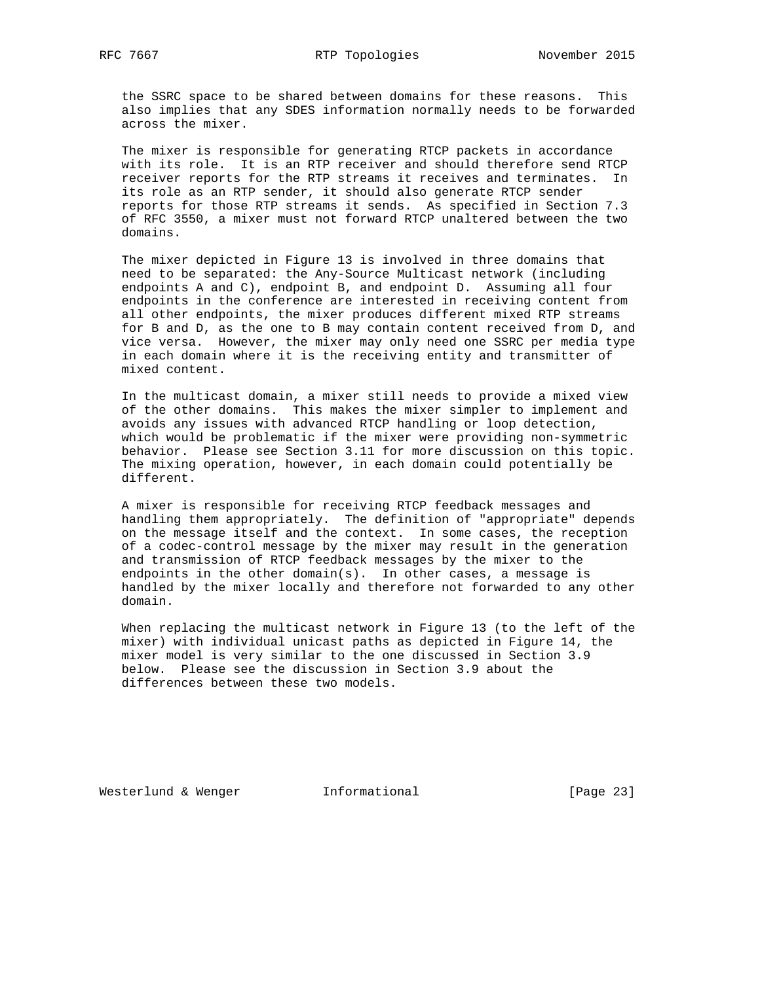the SSRC space to be shared between domains for these reasons. This also implies that any SDES information normally needs to be forwarded across the mixer.

 The mixer is responsible for generating RTCP packets in accordance with its role. It is an RTP receiver and should therefore send RTCP receiver reports for the RTP streams it receives and terminates. In its role as an RTP sender, it should also generate RTCP sender reports for those RTP streams it sends. As specified in Section 7.3 of RFC 3550, a mixer must not forward RTCP unaltered between the two domains.

 The mixer depicted in Figure 13 is involved in three domains that need to be separated: the Any-Source Multicast network (including endpoints A and C), endpoint B, and endpoint D. Assuming all four endpoints in the conference are interested in receiving content from all other endpoints, the mixer produces different mixed RTP streams for B and D, as the one to B may contain content received from D, and vice versa. However, the mixer may only need one SSRC per media type in each domain where it is the receiving entity and transmitter of mixed content.

 In the multicast domain, a mixer still needs to provide a mixed view of the other domains. This makes the mixer simpler to implement and avoids any issues with advanced RTCP handling or loop detection, which would be problematic if the mixer were providing non-symmetric behavior. Please see Section 3.11 for more discussion on this topic. The mixing operation, however, in each domain could potentially be different.

 A mixer is responsible for receiving RTCP feedback messages and handling them appropriately. The definition of "appropriate" depends on the message itself and the context. In some cases, the reception of a codec-control message by the mixer may result in the generation and transmission of RTCP feedback messages by the mixer to the endpoints in the other domain(s). In other cases, a message is handled by the mixer locally and therefore not forwarded to any other domain.

 When replacing the multicast network in Figure 13 (to the left of the mixer) with individual unicast paths as depicted in Figure 14, the mixer model is very similar to the one discussed in Section 3.9 below. Please see the discussion in Section 3.9 about the differences between these two models.

Westerlund & Wenger **Informational** [Page 23]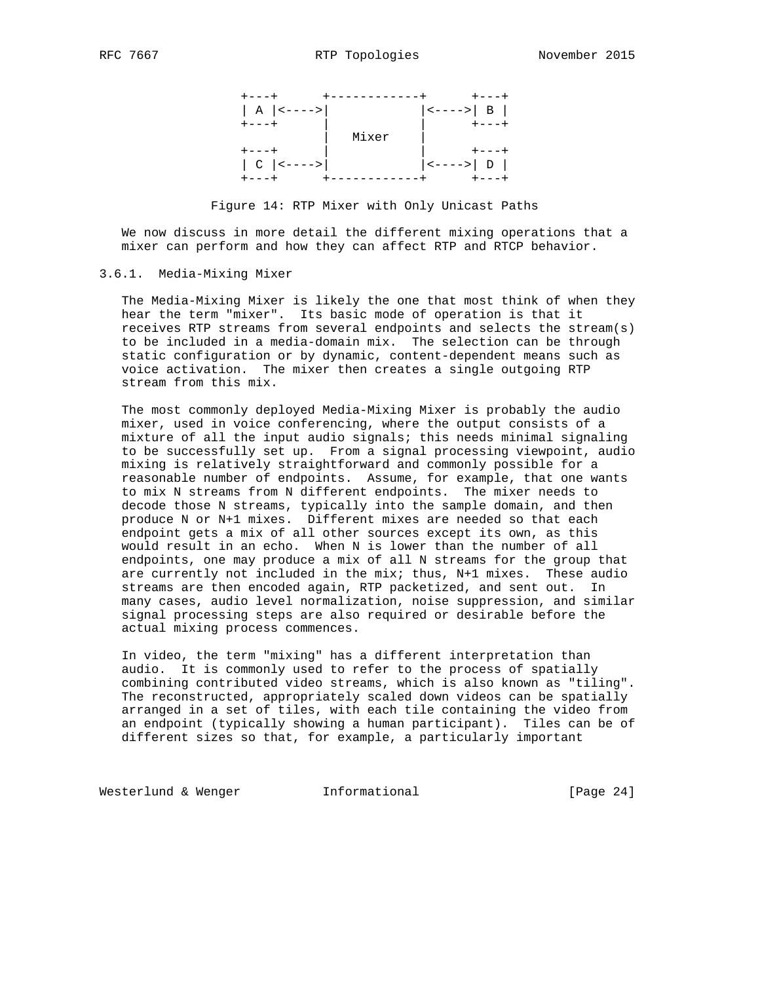

Figure 14: RTP Mixer with Only Unicast Paths

 We now discuss in more detail the different mixing operations that a mixer can perform and how they can affect RTP and RTCP behavior.

### 3.6.1. Media-Mixing Mixer

 The Media-Mixing Mixer is likely the one that most think of when they hear the term "mixer". Its basic mode of operation is that it receives RTP streams from several endpoints and selects the stream(s) to be included in a media-domain mix. The selection can be through static configuration or by dynamic, content-dependent means such as voice activation. The mixer then creates a single outgoing RTP stream from this mix.

 The most commonly deployed Media-Mixing Mixer is probably the audio mixer, used in voice conferencing, where the output consists of a mixture of all the input audio signals; this needs minimal signaling to be successfully set up. From a signal processing viewpoint, audio mixing is relatively straightforward and commonly possible for a reasonable number of endpoints. Assume, for example, that one wants to mix N streams from N different endpoints. The mixer needs to decode those N streams, typically into the sample domain, and then produce N or N+1 mixes. Different mixes are needed so that each endpoint gets a mix of all other sources except its own, as this would result in an echo. When N is lower than the number of all endpoints, one may produce a mix of all N streams for the group that are currently not included in the mix; thus, N+1 mixes. These audio streams are then encoded again, RTP packetized, and sent out. In many cases, audio level normalization, noise suppression, and similar signal processing steps are also required or desirable before the actual mixing process commences.

 In video, the term "mixing" has a different interpretation than audio. It is commonly used to refer to the process of spatially combining contributed video streams, which is also known as "tiling". The reconstructed, appropriately scaled down videos can be spatially arranged in a set of tiles, with each tile containing the video from an endpoint (typically showing a human participant). Tiles can be of different sizes so that, for example, a particularly important

Westerlund & Wenger **Informational** [Page 24]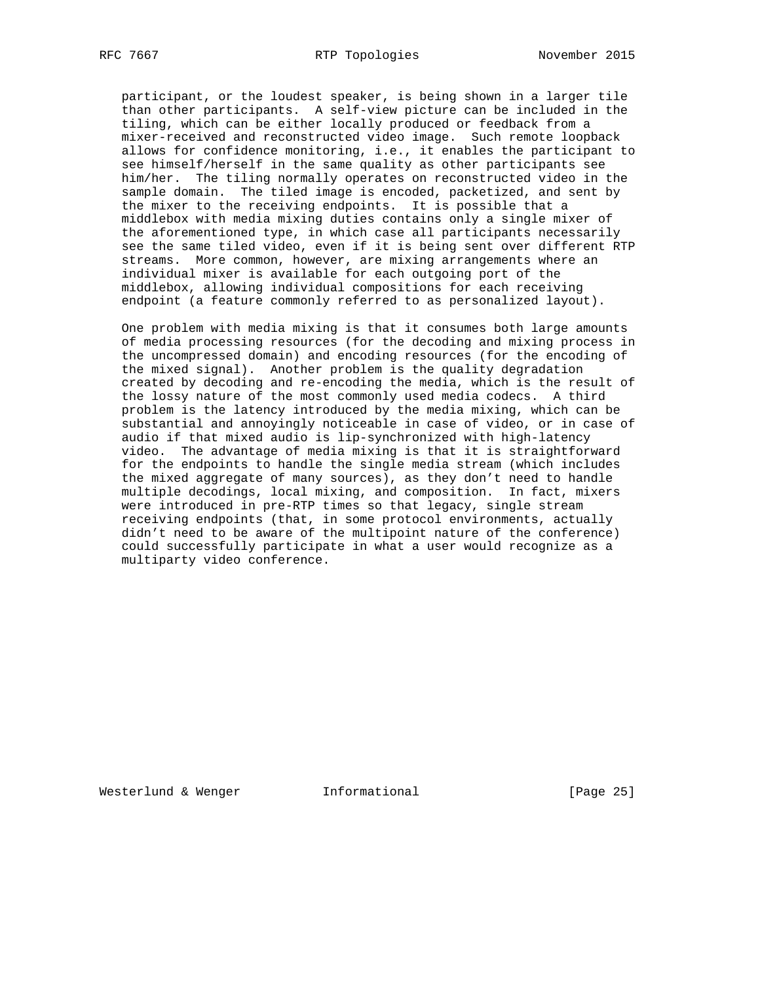participant, or the loudest speaker, is being shown in a larger tile than other participants. A self-view picture can be included in the tiling, which can be either locally produced or feedback from a mixer-received and reconstructed video image. Such remote loopback allows for confidence monitoring, i.e., it enables the participant to see himself/herself in the same quality as other participants see him/her. The tiling normally operates on reconstructed video in the sample domain. The tiled image is encoded, packetized, and sent by the mixer to the receiving endpoints. It is possible that a middlebox with media mixing duties contains only a single mixer of the aforementioned type, in which case all participants necessarily see the same tiled video, even if it is being sent over different RTP streams. More common, however, are mixing arrangements where an individual mixer is available for each outgoing port of the middlebox, allowing individual compositions for each receiving endpoint (a feature commonly referred to as personalized layout).

 One problem with media mixing is that it consumes both large amounts of media processing resources (for the decoding and mixing process in the uncompressed domain) and encoding resources (for the encoding of the mixed signal). Another problem is the quality degradation created by decoding and re-encoding the media, which is the result of the lossy nature of the most commonly used media codecs. A third problem is the latency introduced by the media mixing, which can be substantial and annoyingly noticeable in case of video, or in case of audio if that mixed audio is lip-synchronized with high-latency video. The advantage of media mixing is that it is straightforward for the endpoints to handle the single media stream (which includes the mixed aggregate of many sources), as they don't need to handle multiple decodings, local mixing, and composition. In fact, mixers were introduced in pre-RTP times so that legacy, single stream receiving endpoints (that, in some protocol environments, actually didn't need to be aware of the multipoint nature of the conference) could successfully participate in what a user would recognize as a multiparty video conference.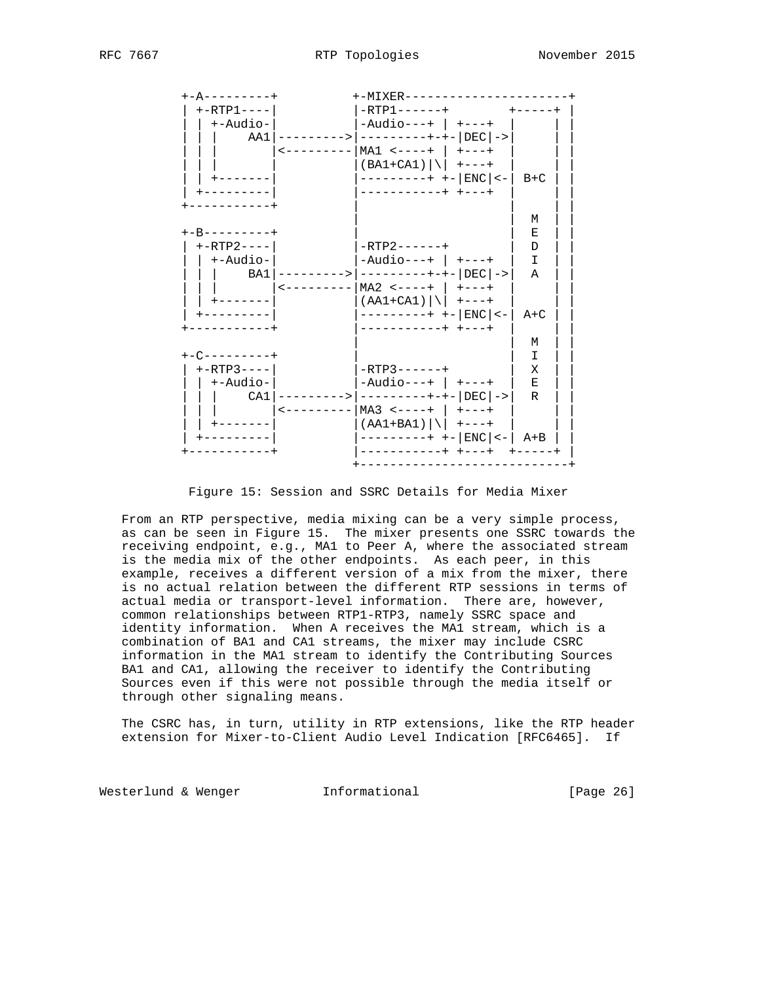| +-A---------+     | +-MIXER-----                                                            |               |
|-------------------|-------------------------------------------------------------------------|---------------|
| $+ - RTP1 - - -$  | -RTP1------+                                                            | $+ - - - - +$ |
| +-Audio-          | $-Audiv---+$   +---+                                                    |               |
| AA1 I             | --------> ---------+-+- DEC ->                                          |               |
|                   | <--------- MA1 <----+   +---+                                           |               |
|                   |                                                                         |               |
|                   | $(BAI+CA1)$ $\vert \vert +---+$                                         |               |
|                   | ---------+ +-   ENC   <-                                                | $B+C$         |
|                   | -----------+ +---+                                                      |               |
|                   |                                                                         |               |
|                   |                                                                         | M             |
| +-B---------+     |                                                                         | Е             |
| $+ - RTP2 - - -$  | $-$ RTP2 - - - - - - +                                                  | D             |
| +-Audio-          | $-Audiv---+$ +---+                                                      | Ι             |
|                   | BA1   --------->   ---------+-+-   DEC   ->                             | $\mathbf{A}$  |
|                   | $\leftarrow$ - - - - - - - - -   MA2 $\leftarrow$ - - - - +   + - - - + |               |
|                   | $(AAI+CA1)$ $\vert \setminus \vert$ +---+                               |               |
| . - - - - - - - - | $------+++- $ ENC   <-                                                  | $A+C$         |
| -------           | $----------++$ +---+                                                    |               |
|                   |                                                                         | M             |
| +-C--------+      |                                                                         | I             |
| $+ - RTP3 - - -$  | $-$ RTP3 - - - - - - +                                                  | х             |
| +-Audio-          | $-Audiv---+$   $+---+$                                                  | Е             |
|                   |                                                                         | R             |
|                   | CA1 $ $ ---------> $ $ ---------+-+- $ DEC $ ->                         |               |
|                   | <--------- MA3 <----+   +---+                                           |               |
|                   | $(AA1+BA1) $ +---+                                                      |               |
|                   | $------+++- $ ENC   <-  A+B                                             |               |
|                   |                                                                         |               |
|                   |                                                                         |               |

## Figure 15: Session and SSRC Details for Media Mixer

 From an RTP perspective, media mixing can be a very simple process, as can be seen in Figure 15. The mixer presents one SSRC towards the receiving endpoint, e.g., MA1 to Peer A, where the associated stream is the media mix of the other endpoints. As each peer, in this example, receives a different version of a mix from the mixer, there is no actual relation between the different RTP sessions in terms of actual media or transport-level information. There are, however, common relationships between RTP1-RTP3, namely SSRC space and identity information. When A receives the MA1 stream, which is a combination of BA1 and CA1 streams, the mixer may include CSRC information in the MA1 stream to identify the Contributing Sources BA1 and CA1, allowing the receiver to identify the Contributing Sources even if this were not possible through the media itself or through other signaling means.

 The CSRC has, in turn, utility in RTP extensions, like the RTP header extension for Mixer-to-Client Audio Level Indication [RFC6465]. If

Westerlund & Wenger **Informational** [Page 26]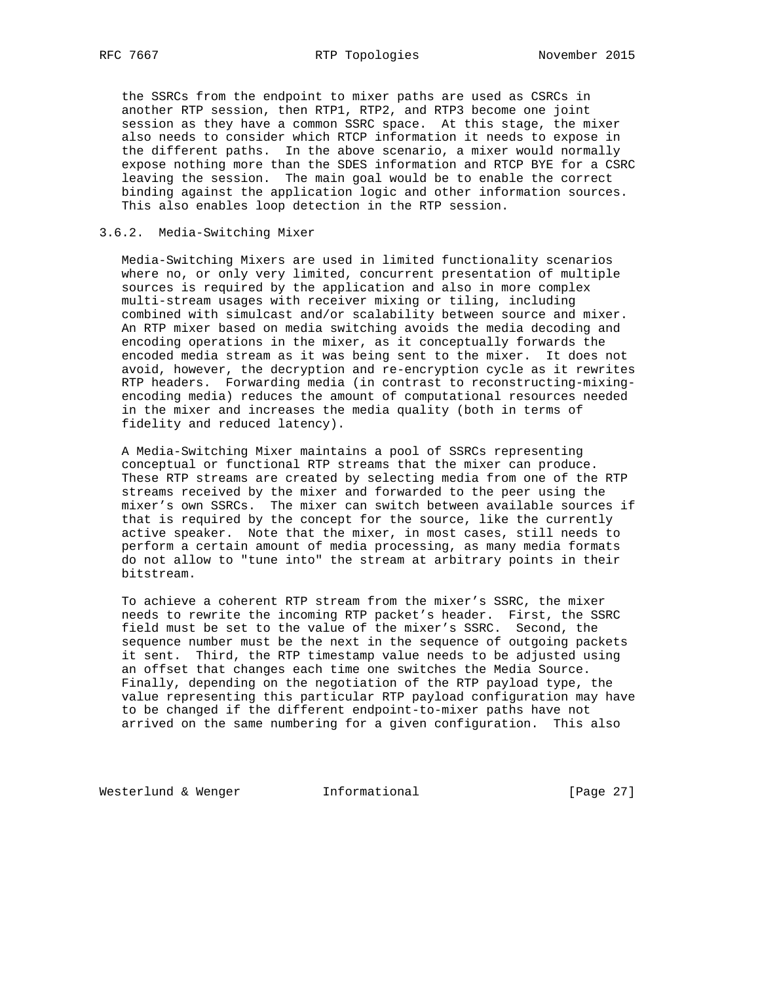the SSRCs from the endpoint to mixer paths are used as CSRCs in another RTP session, then RTP1, RTP2, and RTP3 become one joint session as they have a common SSRC space. At this stage, the mixer also needs to consider which RTCP information it needs to expose in the different paths. In the above scenario, a mixer would normally expose nothing more than the SDES information and RTCP BYE for a CSRC leaving the session. The main goal would be to enable the correct binding against the application logic and other information sources. This also enables loop detection in the RTP session.

## 3.6.2. Media-Switching Mixer

 Media-Switching Mixers are used in limited functionality scenarios where no, or only very limited, concurrent presentation of multiple sources is required by the application and also in more complex multi-stream usages with receiver mixing or tiling, including combined with simulcast and/or scalability between source and mixer. An RTP mixer based on media switching avoids the media decoding and encoding operations in the mixer, as it conceptually forwards the encoded media stream as it was being sent to the mixer. It does not avoid, however, the decryption and re-encryption cycle as it rewrites RTP headers. Forwarding media (in contrast to reconstructing-mixing encoding media) reduces the amount of computational resources needed in the mixer and increases the media quality (both in terms of fidelity and reduced latency).

 A Media-Switching Mixer maintains a pool of SSRCs representing conceptual or functional RTP streams that the mixer can produce. These RTP streams are created by selecting media from one of the RTP streams received by the mixer and forwarded to the peer using the mixer's own SSRCs. The mixer can switch between available sources if that is required by the concept for the source, like the currently active speaker. Note that the mixer, in most cases, still needs to perform a certain amount of media processing, as many media formats do not allow to "tune into" the stream at arbitrary points in their bitstream.

 To achieve a coherent RTP stream from the mixer's SSRC, the mixer needs to rewrite the incoming RTP packet's header. First, the SSRC field must be set to the value of the mixer's SSRC. Second, the sequence number must be the next in the sequence of outgoing packets it sent. Third, the RTP timestamp value needs to be adjusted using an offset that changes each time one switches the Media Source. Finally, depending on the negotiation of the RTP payload type, the value representing this particular RTP payload configuration may have to be changed if the different endpoint-to-mixer paths have not arrived on the same numbering for a given configuration. This also

Westerlund & Wenger **Informational** [Page 27]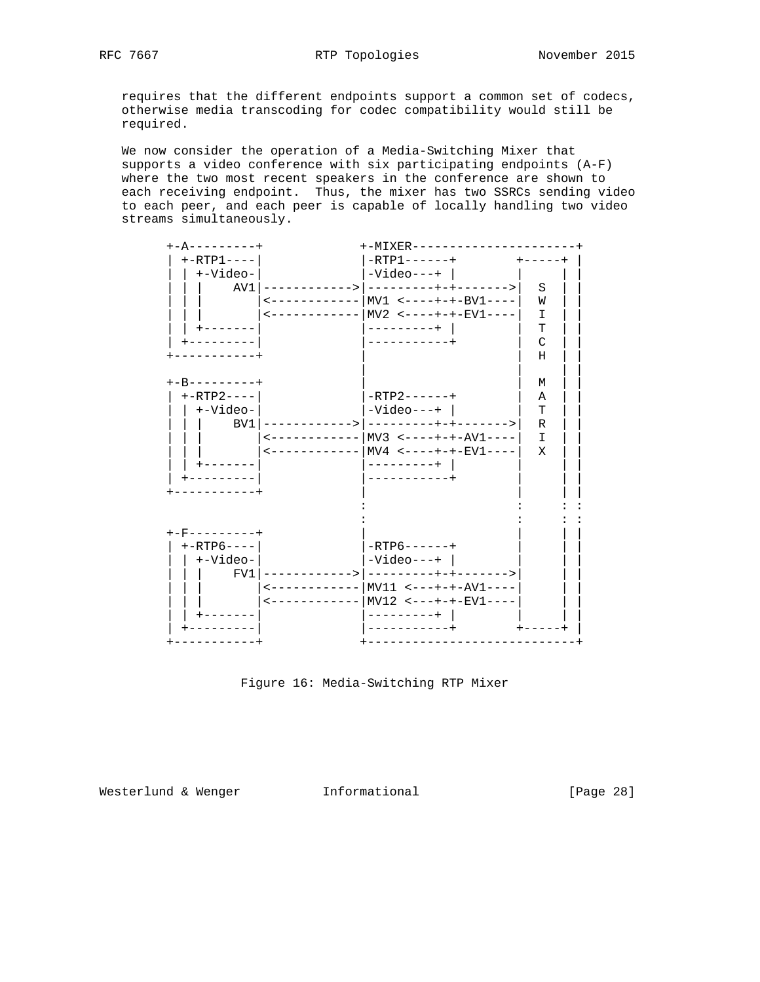requires that the different endpoints support a common set of codecs, otherwise media transcoding for codec compatibility would still be required.

 We now consider the operation of a Media-Switching Mixer that supports a video conference with six participating endpoints (A-F) where the two most recent speakers in the conference are shown to each receiving endpoint. Thus, the mixer has two SSRCs sending video to each peer, and each peer is capable of locally handling two video streams simultaneously.



Figure 16: Media-Switching RTP Mixer

Westerlund & Wenger **Informational** [Page 28]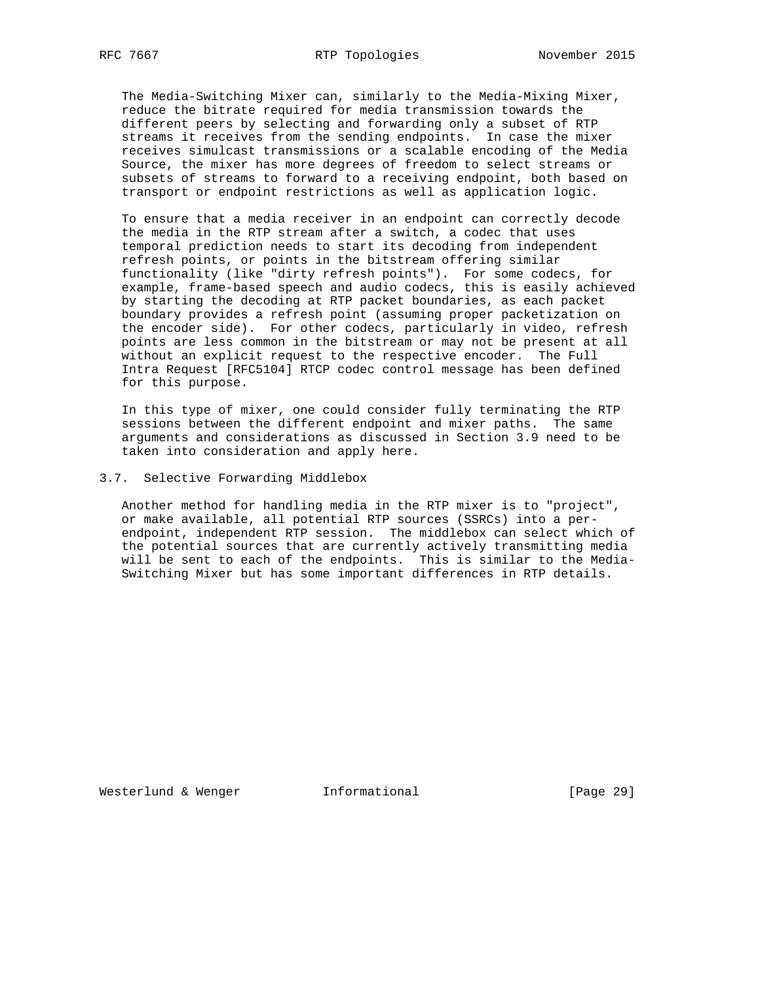The Media-Switching Mixer can, similarly to the Media-Mixing Mixer, reduce the bitrate required for media transmission towards the different peers by selecting and forwarding only a subset of RTP streams it receives from the sending endpoints. In case the mixer receives simulcast transmissions or a scalable encoding of the Media Source, the mixer has more degrees of freedom to select streams or subsets of streams to forward to a receiving endpoint, both based on transport or endpoint restrictions as well as application logic.

 To ensure that a media receiver in an endpoint can correctly decode the media in the RTP stream after a switch, a codec that uses temporal prediction needs to start its decoding from independent refresh points, or points in the bitstream offering similar functionality (like "dirty refresh points"). For some codecs, for example, frame-based speech and audio codecs, this is easily achieved by starting the decoding at RTP packet boundaries, as each packet boundary provides a refresh point (assuming proper packetization on the encoder side). For other codecs, particularly in video, refresh points are less common in the bitstream or may not be present at all without an explicit request to the respective encoder. The Full Intra Request [RFC5104] RTCP codec control message has been defined for this purpose.

 In this type of mixer, one could consider fully terminating the RTP sessions between the different endpoint and mixer paths. The same arguments and considerations as discussed in Section 3.9 need to be taken into consideration and apply here.

### 3.7. Selective Forwarding Middlebox

 Another method for handling media in the RTP mixer is to "project", or make available, all potential RTP sources (SSRCs) into a per endpoint, independent RTP session. The middlebox can select which of the potential sources that are currently actively transmitting media will be sent to each of the endpoints. This is similar to the Media- Switching Mixer but has some important differences in RTP details.

Westerlund & Wenger **Informational** [Page 29]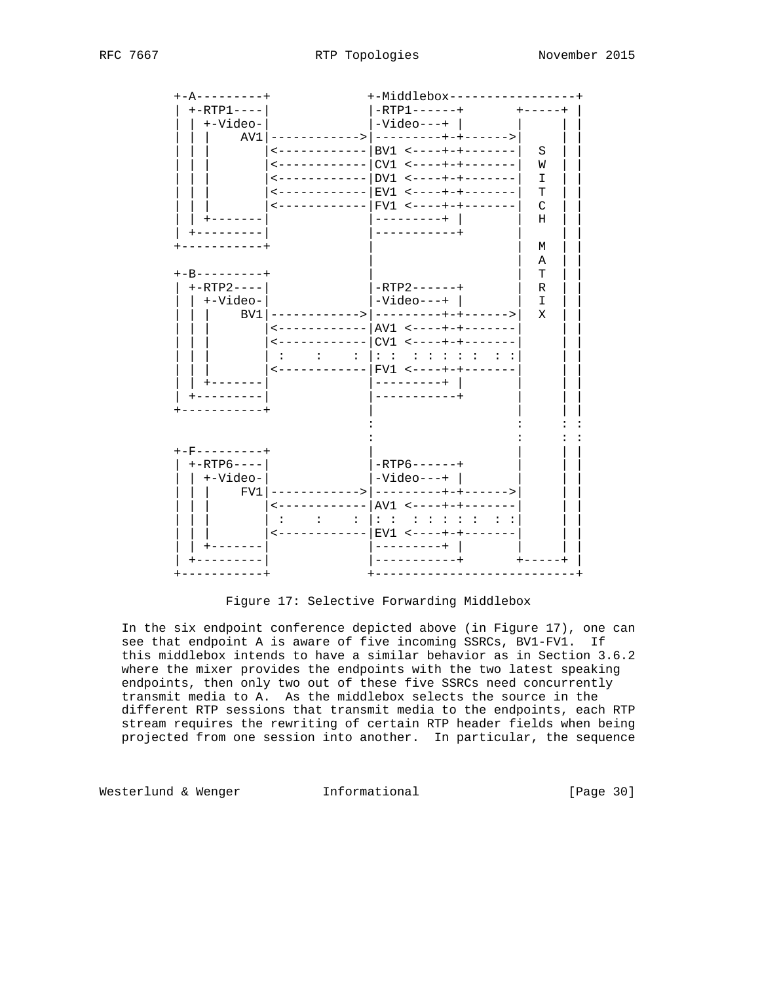

Figure 17: Selective Forwarding Middlebox

 In the six endpoint conference depicted above (in Figure 17), one can see that endpoint A is aware of five incoming SSRCs, BV1-FV1. If this middlebox intends to have a similar behavior as in Section 3.6.2 where the mixer provides the endpoints with the two latest speaking endpoints, then only two out of these five SSRCs need concurrently transmit media to A. As the middlebox selects the source in the different RTP sessions that transmit media to the endpoints, each RTP stream requires the rewriting of certain RTP header fields when being projected from one session into another. In particular, the sequence

Westerlund & Wenger **Informational Informational** [Page 30]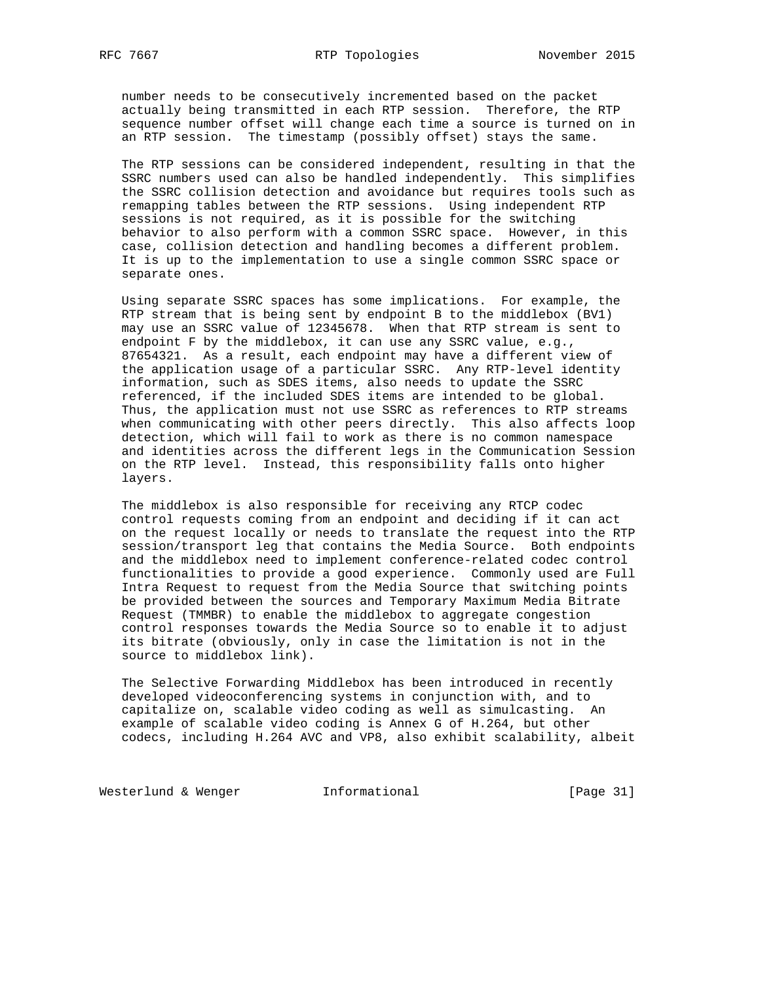number needs to be consecutively incremented based on the packet actually being transmitted in each RTP session. Therefore, the RTP sequence number offset will change each time a source is turned on in an RTP session. The timestamp (possibly offset) stays the same.

 The RTP sessions can be considered independent, resulting in that the SSRC numbers used can also be handled independently. This simplifies the SSRC collision detection and avoidance but requires tools such as remapping tables between the RTP sessions. Using independent RTP sessions is not required, as it is possible for the switching behavior to also perform with a common SSRC space. However, in this case, collision detection and handling becomes a different problem. It is up to the implementation to use a single common SSRC space or separate ones.

 Using separate SSRC spaces has some implications. For example, the RTP stream that is being sent by endpoint B to the middlebox (BV1) may use an SSRC value of 12345678. When that RTP stream is sent to endpoint F by the middlebox, it can use any SSRC value, e.g., 87654321. As a result, each endpoint may have a different view of the application usage of a particular SSRC. Any RTP-level identity information, such as SDES items, also needs to update the SSRC referenced, if the included SDES items are intended to be global. Thus, the application must not use SSRC as references to RTP streams when communicating with other peers directly. This also affects loop detection, which will fail to work as there is no common namespace and identities across the different legs in the Communication Session on the RTP level. Instead, this responsibility falls onto higher layers.

 The middlebox is also responsible for receiving any RTCP codec control requests coming from an endpoint and deciding if it can act on the request locally or needs to translate the request into the RTP session/transport leg that contains the Media Source. Both endpoints and the middlebox need to implement conference-related codec control functionalities to provide a good experience. Commonly used are Full Intra Request to request from the Media Source that switching points be provided between the sources and Temporary Maximum Media Bitrate Request (TMMBR) to enable the middlebox to aggregate congestion control responses towards the Media Source so to enable it to adjust its bitrate (obviously, only in case the limitation is not in the source to middlebox link).

 The Selective Forwarding Middlebox has been introduced in recently developed videoconferencing systems in conjunction with, and to capitalize on, scalable video coding as well as simulcasting. An example of scalable video coding is Annex G of H.264, but other codecs, including H.264 AVC and VP8, also exhibit scalability, albeit

Westerlund & Wenger **Informational** [Page 31]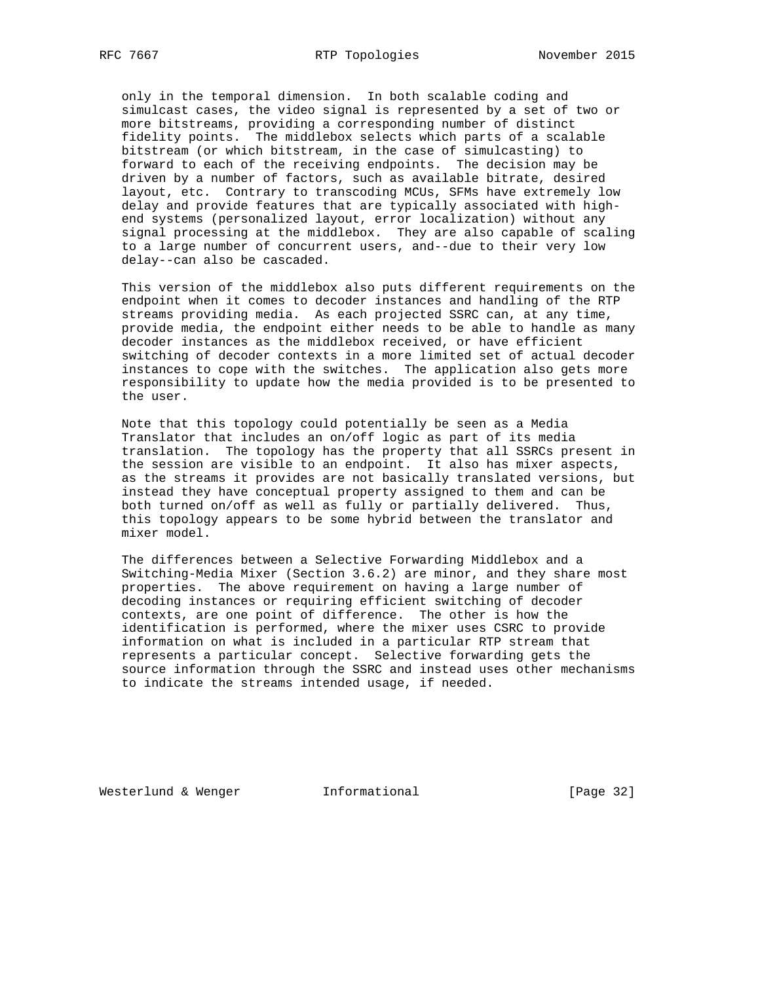only in the temporal dimension. In both scalable coding and simulcast cases, the video signal is represented by a set of two or more bitstreams, providing a corresponding number of distinct fidelity points. The middlebox selects which parts of a scalable bitstream (or which bitstream, in the case of simulcasting) to forward to each of the receiving endpoints. The decision may be driven by a number of factors, such as available bitrate, desired layout, etc. Contrary to transcoding MCUs, SFMs have extremely low delay and provide features that are typically associated with high end systems (personalized layout, error localization) without any signal processing at the middlebox. They are also capable of scaling to a large number of concurrent users, and--due to their very low delay--can also be cascaded.

 This version of the middlebox also puts different requirements on the endpoint when it comes to decoder instances and handling of the RTP streams providing media. As each projected SSRC can, at any time, provide media, the endpoint either needs to be able to handle as many decoder instances as the middlebox received, or have efficient switching of decoder contexts in a more limited set of actual decoder instances to cope with the switches. The application also gets more responsibility to update how the media provided is to be presented to the user.

 Note that this topology could potentially be seen as a Media Translator that includes an on/off logic as part of its media translation. The topology has the property that all SSRCs present in the session are visible to an endpoint. It also has mixer aspects, as the streams it provides are not basically translated versions, but instead they have conceptual property assigned to them and can be both turned on/off as well as fully or partially delivered. Thus, this topology appears to be some hybrid between the translator and mixer model.

 The differences between a Selective Forwarding Middlebox and a Switching-Media Mixer (Section 3.6.2) are minor, and they share most properties. The above requirement on having a large number of decoding instances or requiring efficient switching of decoder contexts, are one point of difference. The other is how the identification is performed, where the mixer uses CSRC to provide information on what is included in a particular RTP stream that represents a particular concept. Selective forwarding gets the source information through the SSRC and instead uses other mechanisms to indicate the streams intended usage, if needed.

Westerlund & Wenger **Informational** [Page 32]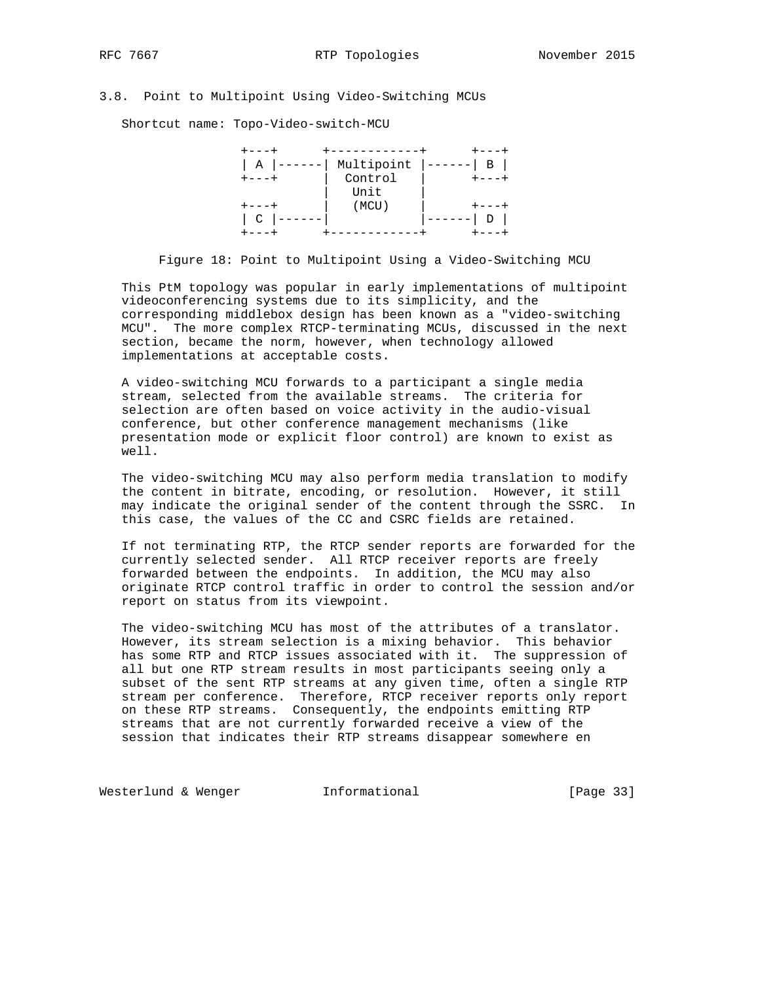# 3.8. Point to Multipoint Using Video-Switching MCUs

Shortcut name: Topo-Video-switch-MCU

| Α      | Multipoint | B |
|--------|------------|---|
|        | Control    |   |
|        | Unit       |   |
|        | (MCU)      |   |
| $\cap$ |            | D |
|        |            |   |

Figure 18: Point to Multipoint Using a Video-Switching MCU

 This PtM topology was popular in early implementations of multipoint videoconferencing systems due to its simplicity, and the corresponding middlebox design has been known as a "video-switching MCU". The more complex RTCP-terminating MCUs, discussed in the next section, became the norm, however, when technology allowed implementations at acceptable costs.

 A video-switching MCU forwards to a participant a single media stream, selected from the available streams. The criteria for selection are often based on voice activity in the audio-visual conference, but other conference management mechanisms (like presentation mode or explicit floor control) are known to exist as well.

 The video-switching MCU may also perform media translation to modify the content in bitrate, encoding, or resolution. However, it still may indicate the original sender of the content through the SSRC. In this case, the values of the CC and CSRC fields are retained.

 If not terminating RTP, the RTCP sender reports are forwarded for the currently selected sender. All RTCP receiver reports are freely forwarded between the endpoints. In addition, the MCU may also originate RTCP control traffic in order to control the session and/or report on status from its viewpoint.

 The video-switching MCU has most of the attributes of a translator. However, its stream selection is a mixing behavior. This behavior has some RTP and RTCP issues associated with it. The suppression of all but one RTP stream results in most participants seeing only a subset of the sent RTP streams at any given time, often a single RTP stream per conference. Therefore, RTCP receiver reports only report on these RTP streams. Consequently, the endpoints emitting RTP streams that are not currently forwarded receive a view of the session that indicates their RTP streams disappear somewhere en

Westerlund & Wenger **Informational** [Page 33]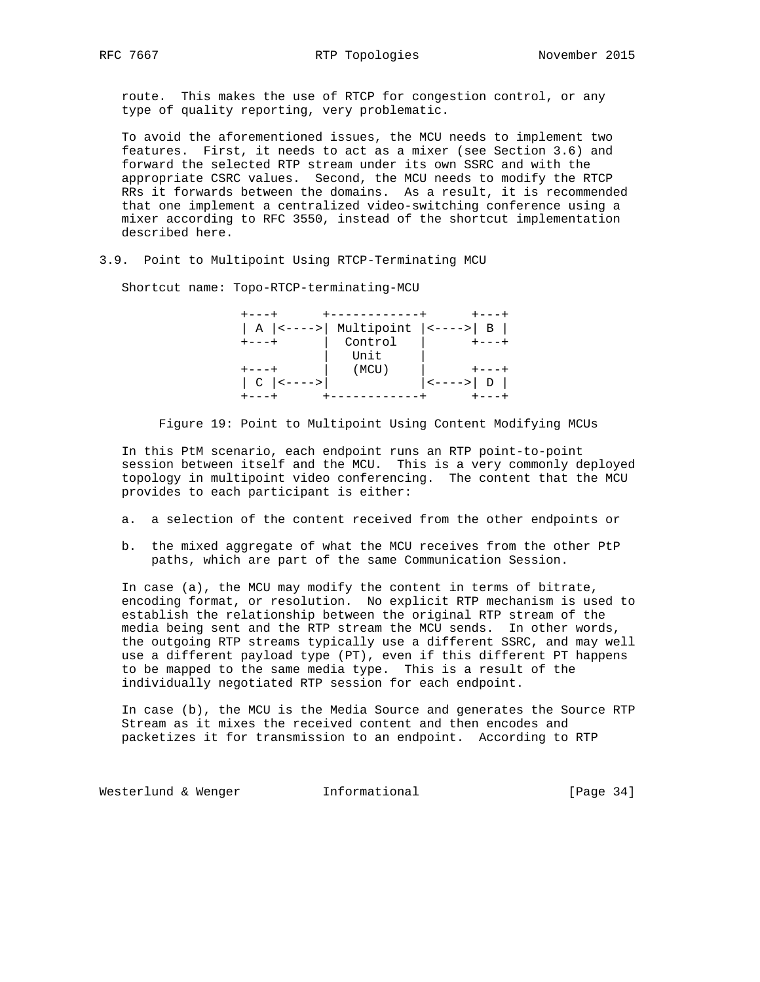route. This makes the use of RTCP for congestion control, or any type of quality reporting, very problematic.

 To avoid the aforementioned issues, the MCU needs to implement two features. First, it needs to act as a mixer (see Section 3.6) and forward the selected RTP stream under its own SSRC and with the appropriate CSRC values. Second, the MCU needs to modify the RTCP RRs it forwards between the domains. As a result, it is recommended that one implement a centralized video-switching conference using a mixer according to RFC 3550, instead of the shortcut implementation described here.

3.9. Point to Multipoint Using RTCP-Terminating MCU

Shortcut name: Topo-RTCP-terminating-MCU

|            | -----------                                  |           |
|------------|----------------------------------------------|-----------|
|            | A $ $ <---->   Multipoint $ $ <---->   B $ $ |           |
|            | Control                                      |           |
|            | Unit                                         |           |
|            | (MCU)                                        |           |
| $ C <--->$ |                                              | <---->  D |
|            |                                              |           |

Figure 19: Point to Multipoint Using Content Modifying MCUs

 In this PtM scenario, each endpoint runs an RTP point-to-point session between itself and the MCU. This is a very commonly deployed topology in multipoint video conferencing. The content that the MCU provides to each participant is either:

- a. a selection of the content received from the other endpoints or
- b. the mixed aggregate of what the MCU receives from the other PtP paths, which are part of the same Communication Session.

 In case (a), the MCU may modify the content in terms of bitrate, encoding format, or resolution. No explicit RTP mechanism is used to establish the relationship between the original RTP stream of the media being sent and the RTP stream the MCU sends. In other words, the outgoing RTP streams typically use a different SSRC, and may well use a different payload type (PT), even if this different PT happens to be mapped to the same media type. This is a result of the individually negotiated RTP session for each endpoint.

 In case (b), the MCU is the Media Source and generates the Source RTP Stream as it mixes the received content and then encodes and packetizes it for transmission to an endpoint. According to RTP

Westerlund & Wenger **Informational Informational** [Page 34]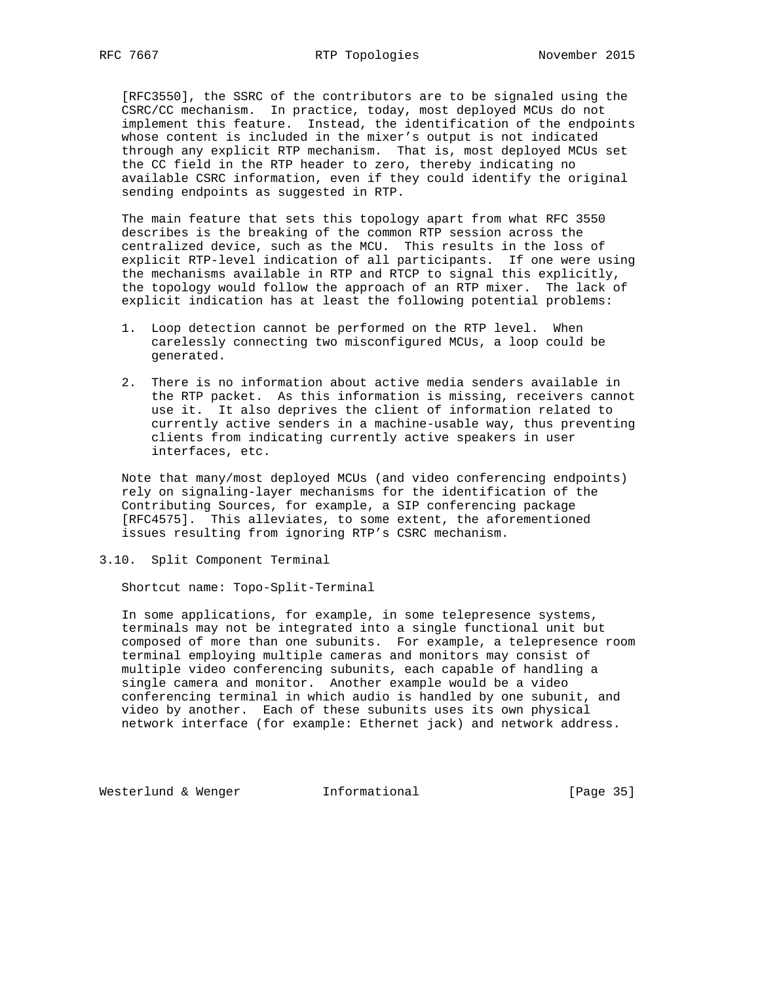[RFC3550], the SSRC of the contributors are to be signaled using the CSRC/CC mechanism. In practice, today, most deployed MCUs do not implement this feature. Instead, the identification of the endpoints whose content is included in the mixer's output is not indicated through any explicit RTP mechanism. That is, most deployed MCUs set the CC field in the RTP header to zero, thereby indicating no available CSRC information, even if they could identify the original sending endpoints as suggested in RTP.

 The main feature that sets this topology apart from what RFC 3550 describes is the breaking of the common RTP session across the centralized device, such as the MCU. This results in the loss of explicit RTP-level indication of all participants. If one were using the mechanisms available in RTP and RTCP to signal this explicitly, the topology would follow the approach of an RTP mixer. The lack of explicit indication has at least the following potential problems:

- 1. Loop detection cannot be performed on the RTP level. When carelessly connecting two misconfigured MCUs, a loop could be generated.
- 2. There is no information about active media senders available in the RTP packet. As this information is missing, receivers cannot use it. It also deprives the client of information related to currently active senders in a machine-usable way, thus preventing clients from indicating currently active speakers in user interfaces, etc.

 Note that many/most deployed MCUs (and video conferencing endpoints) rely on signaling-layer mechanisms for the identification of the Contributing Sources, for example, a SIP conferencing package [RFC4575]. This alleviates, to some extent, the aforementioned issues resulting from ignoring RTP's CSRC mechanism.

3.10. Split Component Terminal

Shortcut name: Topo-Split-Terminal

 In some applications, for example, in some telepresence systems, terminals may not be integrated into a single functional unit but composed of more than one subunits. For example, a telepresence room terminal employing multiple cameras and monitors may consist of multiple video conferencing subunits, each capable of handling a single camera and monitor. Another example would be a video conferencing terminal in which audio is handled by one subunit, and video by another. Each of these subunits uses its own physical network interface (for example: Ethernet jack) and network address.

Westerlund & Wenger **Informational** [Page 35]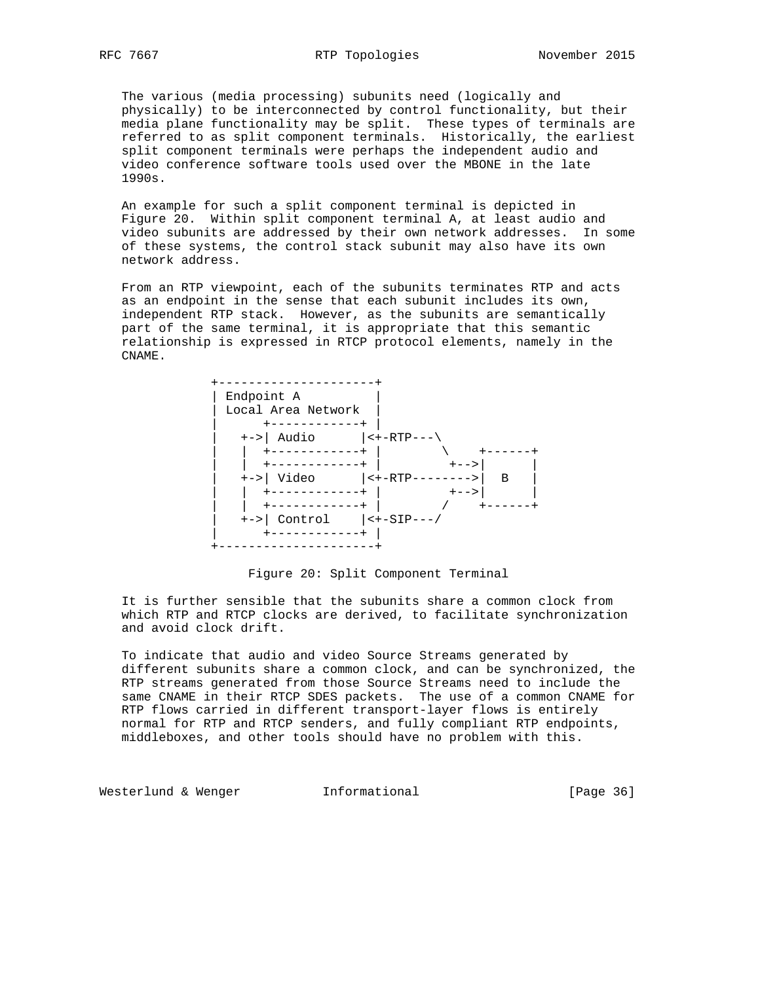The various (media processing) subunits need (logically and physically) to be interconnected by control functionality, but their media plane functionality may be split. These types of terminals are referred to as split component terminals. Historically, the earliest split component terminals were perhaps the independent audio and video conference software tools used over the MBONE in the late 1990s.

 An example for such a split component terminal is depicted in Figure 20. Within split component terminal A, at least audio and video subunits are addressed by their own network addresses. In some of these systems, the control stack subunit may also have its own network address.

 From an RTP viewpoint, each of the subunits terminates RTP and acts as an endpoint in the sense that each subunit includes its own, independent RTP stack. However, as the subunits are semantically part of the same terminal, it is appropriate that this semantic relationship is expressed in RTCP protocol elements, namely in the CNAME.



Figure 20: Split Component Terminal

 It is further sensible that the subunits share a common clock from which RTP and RTCP clocks are derived, to facilitate synchronization and avoid clock drift.

 To indicate that audio and video Source Streams generated by different subunits share a common clock, and can be synchronized, the RTP streams generated from those Source Streams need to include the same CNAME in their RTCP SDES packets. The use of a common CNAME for RTP flows carried in different transport-layer flows is entirely normal for RTP and RTCP senders, and fully compliant RTP endpoints, middleboxes, and other tools should have no problem with this.

Westerlund & Wenger **Informational** [Page 36]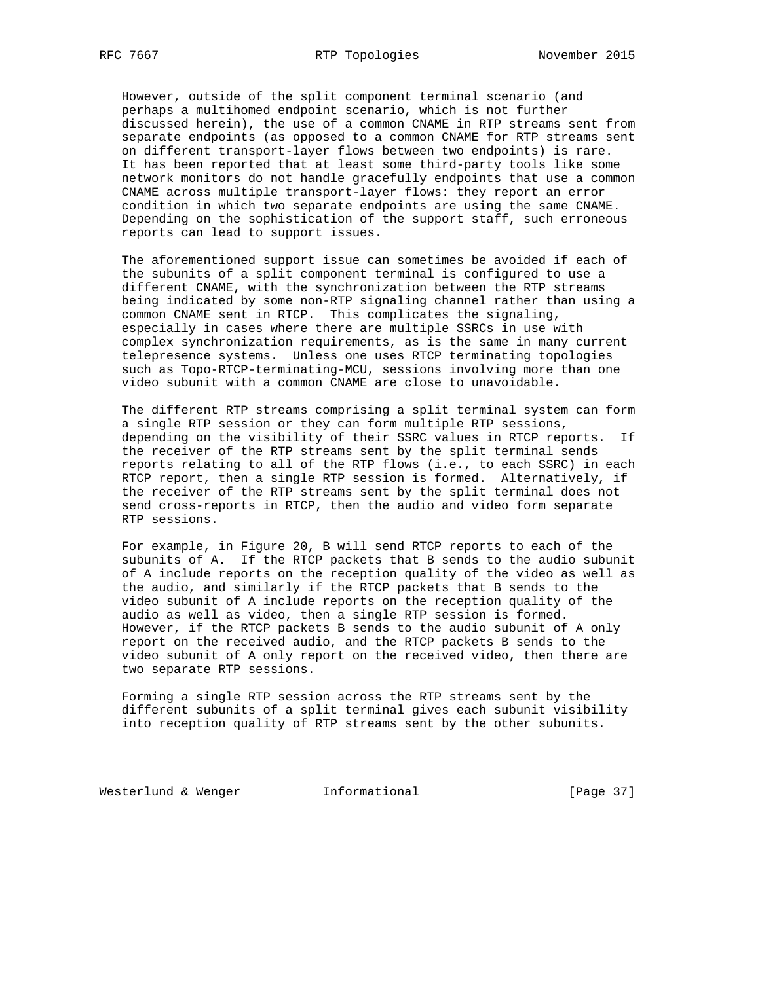However, outside of the split component terminal scenario (and perhaps a multihomed endpoint scenario, which is not further discussed herein), the use of a common CNAME in RTP streams sent from separate endpoints (as opposed to a common CNAME for RTP streams sent on different transport-layer flows between two endpoints) is rare. It has been reported that at least some third-party tools like some network monitors do not handle gracefully endpoints that use a common CNAME across multiple transport-layer flows: they report an error condition in which two separate endpoints are using the same CNAME. Depending on the sophistication of the support staff, such erroneous reports can lead to support issues.

 The aforementioned support issue can sometimes be avoided if each of the subunits of a split component terminal is configured to use a different CNAME, with the synchronization between the RTP streams being indicated by some non-RTP signaling channel rather than using a common CNAME sent in RTCP. This complicates the signaling, especially in cases where there are multiple SSRCs in use with complex synchronization requirements, as is the same in many current telepresence systems. Unless one uses RTCP terminating topologies such as Topo-RTCP-terminating-MCU, sessions involving more than one video subunit with a common CNAME are close to unavoidable.

 The different RTP streams comprising a split terminal system can form a single RTP session or they can form multiple RTP sessions, depending on the visibility of their SSRC values in RTCP reports. If the receiver of the RTP streams sent by the split terminal sends reports relating to all of the RTP flows (i.e., to each SSRC) in each RTCP report, then a single RTP session is formed. Alternatively, if the receiver of the RTP streams sent by the split terminal does not send cross-reports in RTCP, then the audio and video form separate RTP sessions.

 For example, in Figure 20, B will send RTCP reports to each of the subunits of A. If the RTCP packets that B sends to the audio subunit of A include reports on the reception quality of the video as well as the audio, and similarly if the RTCP packets that B sends to the video subunit of A include reports on the reception quality of the audio as well as video, then a single RTP session is formed. However, if the RTCP packets B sends to the audio subunit of A only report on the received audio, and the RTCP packets B sends to the video subunit of A only report on the received video, then there are two separate RTP sessions.

 Forming a single RTP session across the RTP streams sent by the different subunits of a split terminal gives each subunit visibility into reception quality of RTP streams sent by the other subunits.

Westerlund & Wenger **Informational Informational** [Page 37]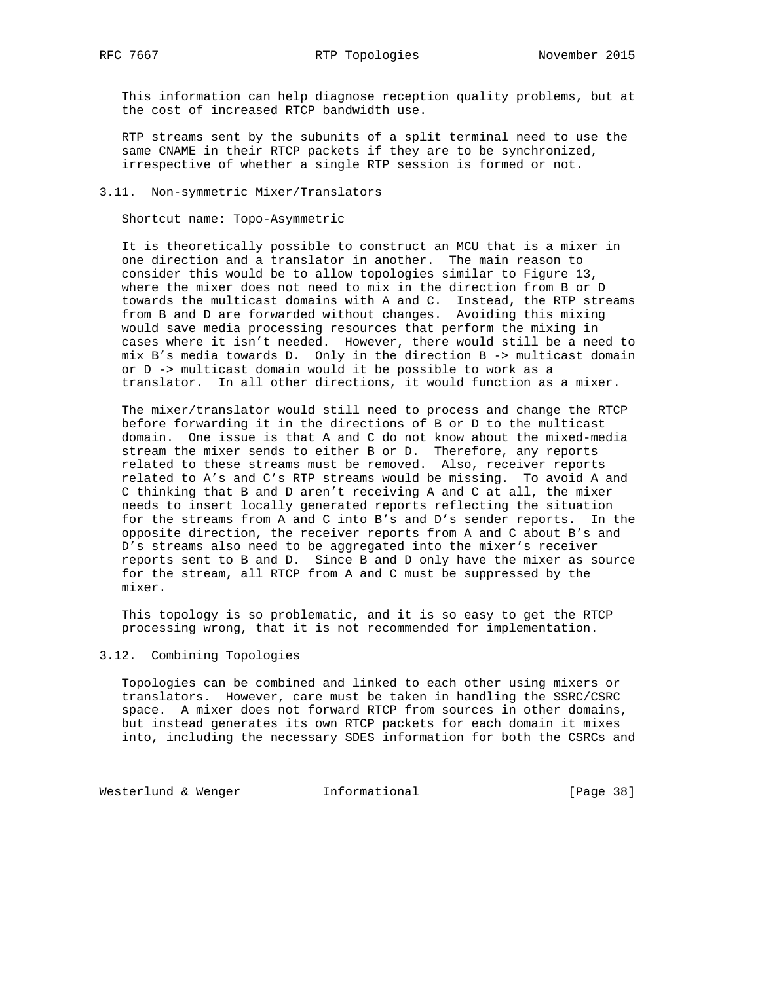This information can help diagnose reception quality problems, but at the cost of increased RTCP bandwidth use.

 RTP streams sent by the subunits of a split terminal need to use the same CNAME in their RTCP packets if they are to be synchronized, irrespective of whether a single RTP session is formed or not.

### 3.11. Non-symmetric Mixer/Translators

Shortcut name: Topo-Asymmetric

 It is theoretically possible to construct an MCU that is a mixer in one direction and a translator in another. The main reason to consider this would be to allow topologies similar to Figure 13, where the mixer does not need to mix in the direction from B or D towards the multicast domains with A and C. Instead, the RTP streams from B and D are forwarded without changes. Avoiding this mixing would save media processing resources that perform the mixing in cases where it isn't needed. However, there would still be a need to mix B's media towards D. Only in the direction B -> multicast domain or D -> multicast domain would it be possible to work as a translator. In all other directions, it would function as a mixer.

 The mixer/translator would still need to process and change the RTCP before forwarding it in the directions of B or D to the multicast domain. One issue is that A and C do not know about the mixed-media stream the mixer sends to either B or D. Therefore, any reports related to these streams must be removed. Also, receiver reports related to A's and C's RTP streams would be missing. To avoid A and C thinking that B and D aren't receiving A and C at all, the mixer needs to insert locally generated reports reflecting the situation for the streams from A and C into B's and D's sender reports. In the opposite direction, the receiver reports from A and C about B's and D's streams also need to be aggregated into the mixer's receiver reports sent to B and D. Since B and D only have the mixer as source for the stream, all RTCP from A and C must be suppressed by the mixer.

 This topology is so problematic, and it is so easy to get the RTCP processing wrong, that it is not recommended for implementation.

## 3.12. Combining Topologies

 Topologies can be combined and linked to each other using mixers or translators. However, care must be taken in handling the SSRC/CSRC space. A mixer does not forward RTCP from sources in other domains, but instead generates its own RTCP packets for each domain it mixes into, including the necessary SDES information for both the CSRCs and

Westerlund & Wenger **Informational** [Page 38]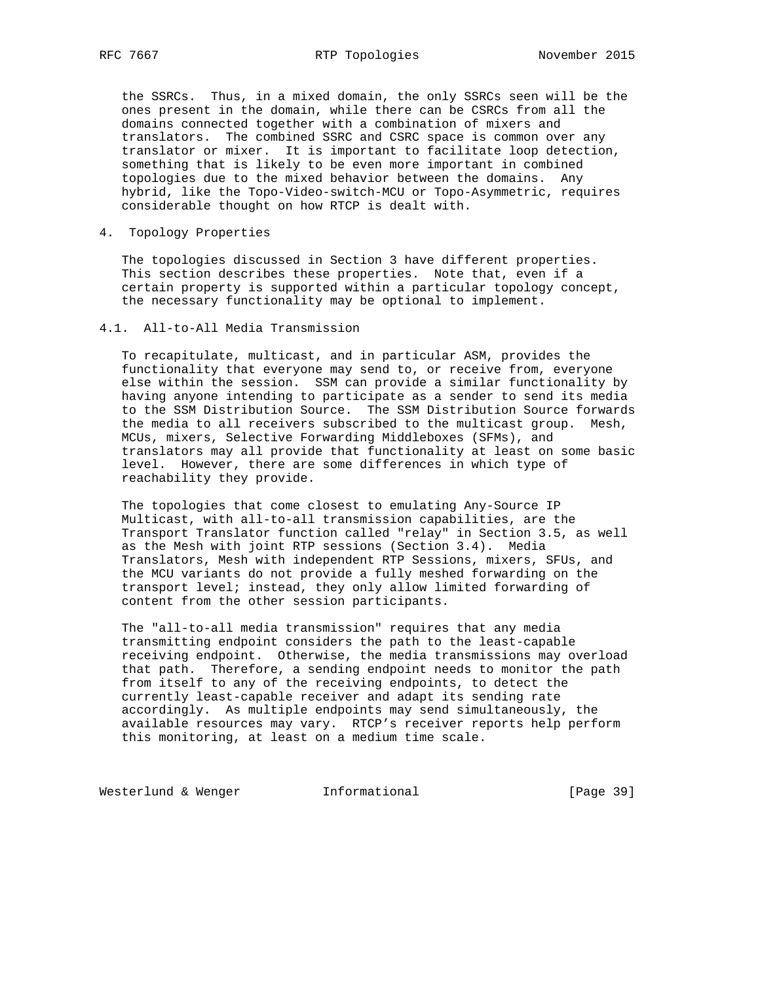the SSRCs. Thus, in a mixed domain, the only SSRCs seen will be the ones present in the domain, while there can be CSRCs from all the domains connected together with a combination of mixers and translators. The combined SSRC and CSRC space is common over any translator or mixer. It is important to facilitate loop detection, something that is likely to be even more important in combined topologies due to the mixed behavior between the domains. Any hybrid, like the Topo-Video-switch-MCU or Topo-Asymmetric, requires considerable thought on how RTCP is dealt with.

4. Topology Properties

 The topologies discussed in Section 3 have different properties. This section describes these properties. Note that, even if a certain property is supported within a particular topology concept, the necessary functionality may be optional to implement.

### 4.1. All-to-All Media Transmission

 To recapitulate, multicast, and in particular ASM, provides the functionality that everyone may send to, or receive from, everyone else within the session. SSM can provide a similar functionality by having anyone intending to participate as a sender to send its media to the SSM Distribution Source. The SSM Distribution Source forwards the media to all receivers subscribed to the multicast group. Mesh, MCUs, mixers, Selective Forwarding Middleboxes (SFMs), and translators may all provide that functionality at least on some basic level. However, there are some differences in which type of reachability they provide.

 The topologies that come closest to emulating Any-Source IP Multicast, with all-to-all transmission capabilities, are the Transport Translator function called "relay" in Section 3.5, as well as the Mesh with joint RTP sessions (Section 3.4). Media Translators, Mesh with independent RTP Sessions, mixers, SFUs, and the MCU variants do not provide a fully meshed forwarding on the transport level; instead, they only allow limited forwarding of content from the other session participants.

 The "all-to-all media transmission" requires that any media transmitting endpoint considers the path to the least-capable receiving endpoint. Otherwise, the media transmissions may overload that path. Therefore, a sending endpoint needs to monitor the path from itself to any of the receiving endpoints, to detect the currently least-capable receiver and adapt its sending rate accordingly. As multiple endpoints may send simultaneously, the available resources may vary. RTCP's receiver reports help perform this monitoring, at least on a medium time scale.

Westerlund & Wenger **Informational** [Page 39]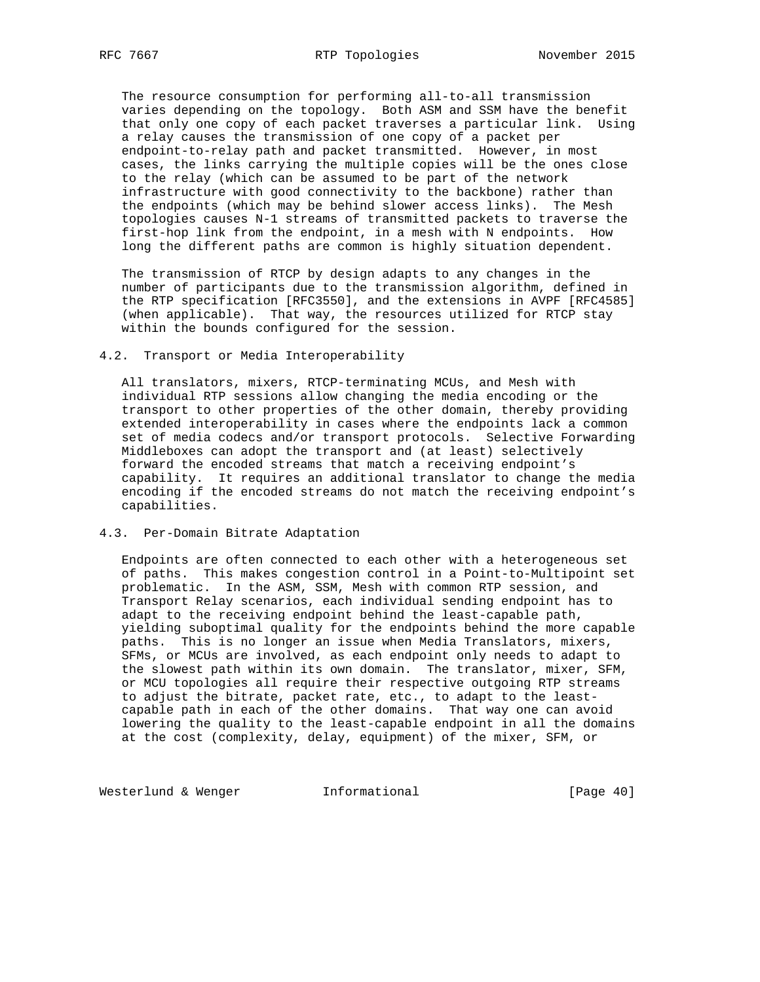The resource consumption for performing all-to-all transmission varies depending on the topology. Both ASM and SSM have the benefit that only one copy of each packet traverses a particular link. Using a relay causes the transmission of one copy of a packet per endpoint-to-relay path and packet transmitted. However, in most cases, the links carrying the multiple copies will be the ones close to the relay (which can be assumed to be part of the network infrastructure with good connectivity to the backbone) rather than the endpoints (which may be behind slower access links). The Mesh topologies causes N-1 streams of transmitted packets to traverse the first-hop link from the endpoint, in a mesh with N endpoints. How long the different paths are common is highly situation dependent.

 The transmission of RTCP by design adapts to any changes in the number of participants due to the transmission algorithm, defined in the RTP specification [RFC3550], and the extensions in AVPF [RFC4585] (when applicable). That way, the resources utilized for RTCP stay within the bounds configured for the session.

#### 4.2. Transport or Media Interoperability

 All translators, mixers, RTCP-terminating MCUs, and Mesh with individual RTP sessions allow changing the media encoding or the transport to other properties of the other domain, thereby providing extended interoperability in cases where the endpoints lack a common set of media codecs and/or transport protocols. Selective Forwarding Middleboxes can adopt the transport and (at least) selectively forward the encoded streams that match a receiving endpoint's capability. It requires an additional translator to change the media encoding if the encoded streams do not match the receiving endpoint's capabilities.

### 4.3. Per-Domain Bitrate Adaptation

 Endpoints are often connected to each other with a heterogeneous set of paths. This makes congestion control in a Point-to-Multipoint set problematic. In the ASM, SSM, Mesh with common RTP session, and Transport Relay scenarios, each individual sending endpoint has to adapt to the receiving endpoint behind the least-capable path, yielding suboptimal quality for the endpoints behind the more capable paths. This is no longer an issue when Media Translators, mixers, SFMs, or MCUs are involved, as each endpoint only needs to adapt to the slowest path within its own domain. The translator, mixer, SFM, or MCU topologies all require their respective outgoing RTP streams to adjust the bitrate, packet rate, etc., to adapt to the least capable path in each of the other domains. That way one can avoid lowering the quality to the least-capable endpoint in all the domains at the cost (complexity, delay, equipment) of the mixer, SFM, or

Westerlund & Wenger **Informational** [Page 40]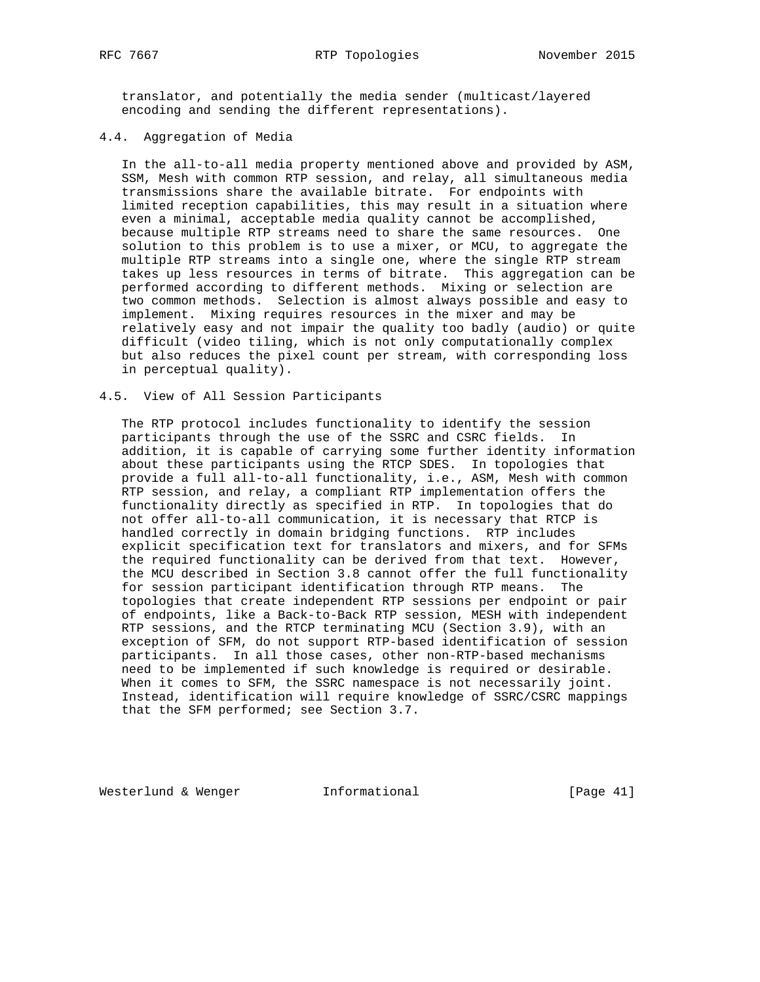translator, and potentially the media sender (multicast/layered encoding and sending the different representations).

## 4.4. Aggregation of Media

 In the all-to-all media property mentioned above and provided by ASM, SSM, Mesh with common RTP session, and relay, all simultaneous media transmissions share the available bitrate. For endpoints with limited reception capabilities, this may result in a situation where even a minimal, acceptable media quality cannot be accomplished, because multiple RTP streams need to share the same resources. One solution to this problem is to use a mixer, or MCU, to aggregate the multiple RTP streams into a single one, where the single RTP stream takes up less resources in terms of bitrate. This aggregation can be performed according to different methods. Mixing or selection are two common methods. Selection is almost always possible and easy to implement. Mixing requires resources in the mixer and may be relatively easy and not impair the quality too badly (audio) or quite difficult (video tiling, which is not only computationally complex but also reduces the pixel count per stream, with corresponding loss in perceptual quality).

### 4.5. View of All Session Participants

 The RTP protocol includes functionality to identify the session participants through the use of the SSRC and CSRC fields. In addition, it is capable of carrying some further identity information about these participants using the RTCP SDES. In topologies that provide a full all-to-all functionality, i.e., ASM, Mesh with common RTP session, and relay, a compliant RTP implementation offers the functionality directly as specified in RTP. In topologies that do not offer all-to-all communication, it is necessary that RTCP is handled correctly in domain bridging functions. RTP includes explicit specification text for translators and mixers, and for SFMs the required functionality can be derived from that text. However, the MCU described in Section 3.8 cannot offer the full functionality for session participant identification through RTP means. The topologies that create independent RTP sessions per endpoint or pair of endpoints, like a Back-to-Back RTP session, MESH with independent RTP sessions, and the RTCP terminating MCU (Section 3.9), with an exception of SFM, do not support RTP-based identification of session participants. In all those cases, other non-RTP-based mechanisms need to be implemented if such knowledge is required or desirable. When it comes to SFM, the SSRC namespace is not necessarily joint. Instead, identification will require knowledge of SSRC/CSRC mappings that the SFM performed; see Section 3.7.

Westerlund & Wenger **Informational** [Page 41]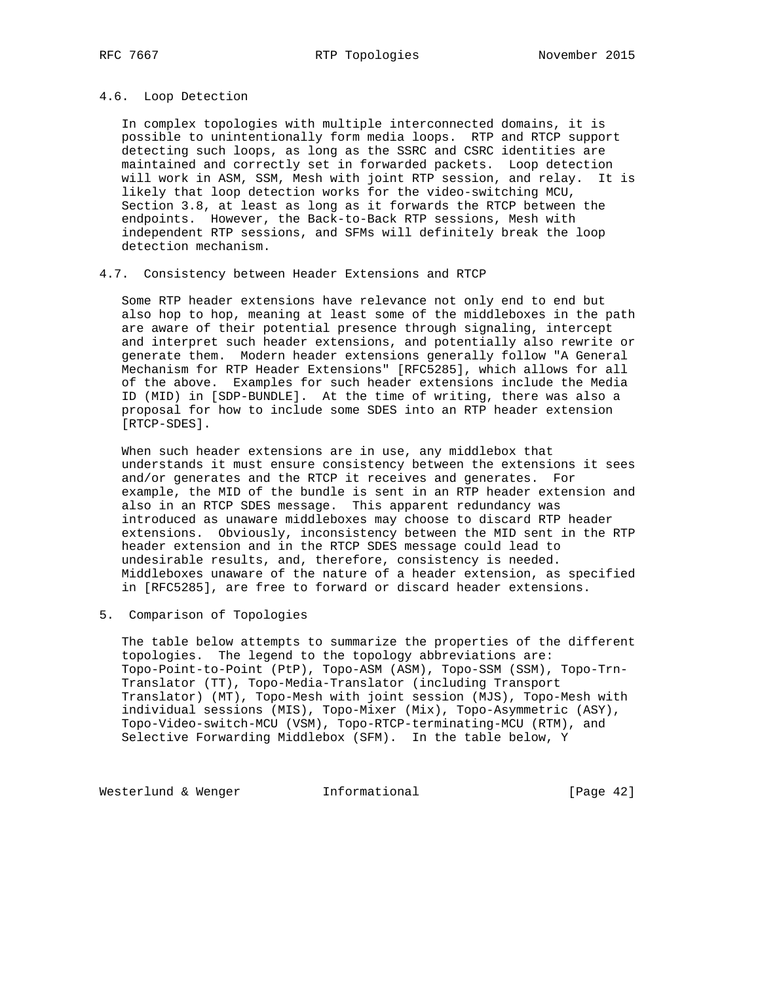## 4.6. Loop Detection

 In complex topologies with multiple interconnected domains, it is possible to unintentionally form media loops. RTP and RTCP support detecting such loops, as long as the SSRC and CSRC identities are maintained and correctly set in forwarded packets. Loop detection will work in ASM, SSM, Mesh with joint RTP session, and relay. It is likely that loop detection works for the video-switching MCU, Section 3.8, at least as long as it forwards the RTCP between the endpoints. However, the Back-to-Back RTP sessions, Mesh with independent RTP sessions, and SFMs will definitely break the loop detection mechanism.

#### 4.7. Consistency between Header Extensions and RTCP

 Some RTP header extensions have relevance not only end to end but also hop to hop, meaning at least some of the middleboxes in the path are aware of their potential presence through signaling, intercept and interpret such header extensions, and potentially also rewrite or generate them. Modern header extensions generally follow "A General Mechanism for RTP Header Extensions" [RFC5285], which allows for all of the above. Examples for such header extensions include the Media ID (MID) in [SDP-BUNDLE]. At the time of writing, there was also a proposal for how to include some SDES into an RTP header extension [RTCP-SDES].

 When such header extensions are in use, any middlebox that understands it must ensure consistency between the extensions it sees and/or generates and the RTCP it receives and generates. For example, the MID of the bundle is sent in an RTP header extension and also in an RTCP SDES message. This apparent redundancy was introduced as unaware middleboxes may choose to discard RTP header extensions. Obviously, inconsistency between the MID sent in the RTP header extension and in the RTCP SDES message could lead to undesirable results, and, therefore, consistency is needed. Middleboxes unaware of the nature of a header extension, as specified in [RFC5285], are free to forward or discard header extensions.

## 5. Comparison of Topologies

 The table below attempts to summarize the properties of the different topologies. The legend to the topology abbreviations are: Topo-Point-to-Point (PtP), Topo-ASM (ASM), Topo-SSM (SSM), Topo-Trn- Translator (TT), Topo-Media-Translator (including Transport Translator) (MT), Topo-Mesh with joint session (MJS), Topo-Mesh with individual sessions (MIS), Topo-Mixer (Mix), Topo-Asymmetric (ASY), Topo-Video-switch-MCU (VSM), Topo-RTCP-terminating-MCU (RTM), and Selective Forwarding Middlebox (SFM). In the table below, Y

Westerlund & Wenger **Informational** [Page 42]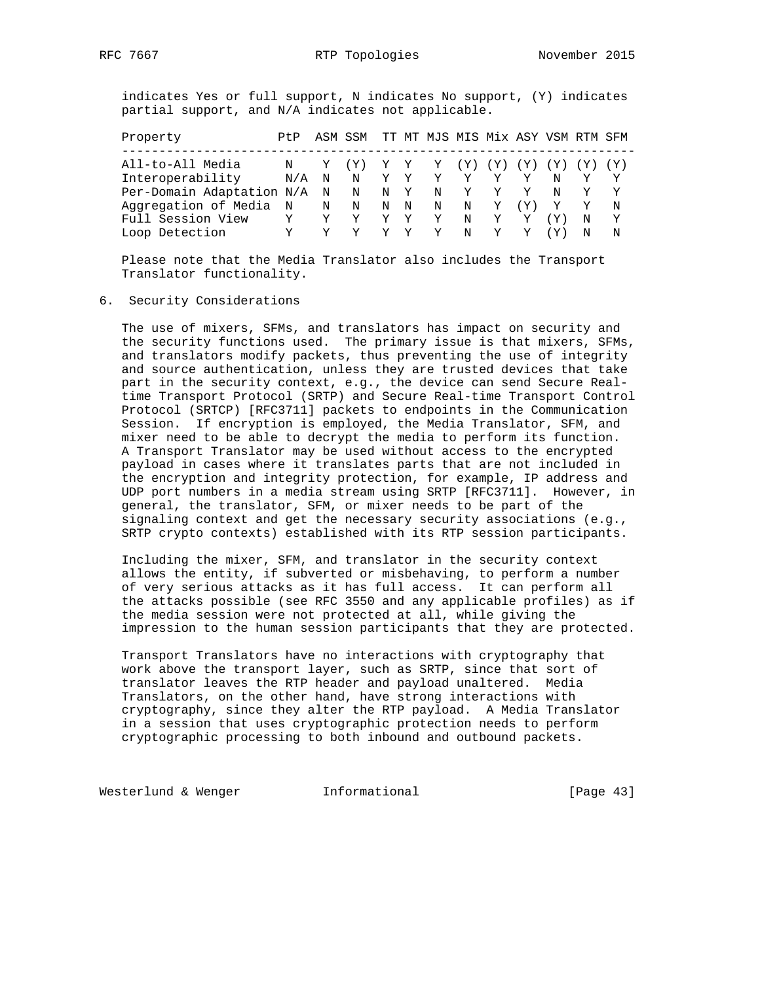indicates Yes or full support, N indicates No support, (Y) indicates partial support, and N/A indicates not applicable.

| Property                    | Pt P        |   | ASM SSM TT MT MJS MIS Mix ASY VSM RTM SFM |             |             |                 |     |     |     |              |   |   |
|-----------------------------|-------------|---|-------------------------------------------|-------------|-------------|-----------------|-----|-----|-----|--------------|---|---|
| All-to-All Media            |             |   |                                           |             | $\mathbf Y$ | $Y \rightarrow$ | (Y) | (Y) |     | (Y) (Y)      |   |   |
| Interoperability            | N/A         | N | N                                         | Y           | Y           | Y               | Y   |     |     |              |   |   |
| Per-Domain Adaptation N/A N |             |   | $\mathbb N$                               | N Y         |             | N               | Y   | Y   | Y   | N            |   |   |
| Aggregation of Media        | $\mathbb N$ | N | N                                         | $\mathbf N$ | N           | N               | N   | Y   | (Y) | $\mathbf{Y}$ |   | N |
| Full Session View           | Y           | Y | Υ                                         |             | Y           | Y               | N   | Y   |     | (Y)          |   | Y |
| Loop Detection              |             |   |                                           |             |             |                 | N   | Y   |     |              | N | N |

 Please note that the Media Translator also includes the Transport Translator functionality.

### 6. Security Considerations

 The use of mixers, SFMs, and translators has impact on security and the security functions used. The primary issue is that mixers, SFMs, and translators modify packets, thus preventing the use of integrity and source authentication, unless they are trusted devices that take part in the security context, e.g., the device can send Secure Real time Transport Protocol (SRTP) and Secure Real-time Transport Control Protocol (SRTCP) [RFC3711] packets to endpoints in the Communication Session. If encryption is employed, the Media Translator, SFM, and mixer need to be able to decrypt the media to perform its function. A Transport Translator may be used without access to the encrypted payload in cases where it translates parts that are not included in the encryption and integrity protection, for example, IP address and UDP port numbers in a media stream using SRTP [RFC3711]. However, in general, the translator, SFM, or mixer needs to be part of the signaling context and get the necessary security associations (e.g., SRTP crypto contexts) established with its RTP session participants.

 Including the mixer, SFM, and translator in the security context allows the entity, if subverted or misbehaving, to perform a number of very serious attacks as it has full access. It can perform all the attacks possible (see RFC 3550 and any applicable profiles) as if the media session were not protected at all, while giving the impression to the human session participants that they are protected.

 Transport Translators have no interactions with cryptography that work above the transport layer, such as SRTP, since that sort of translator leaves the RTP header and payload unaltered. Media Translators, on the other hand, have strong interactions with cryptography, since they alter the RTP payload. A Media Translator in a session that uses cryptographic protection needs to perform cryptographic processing to both inbound and outbound packets.

Westerlund & Wenger **Informational Informational** [Page 43]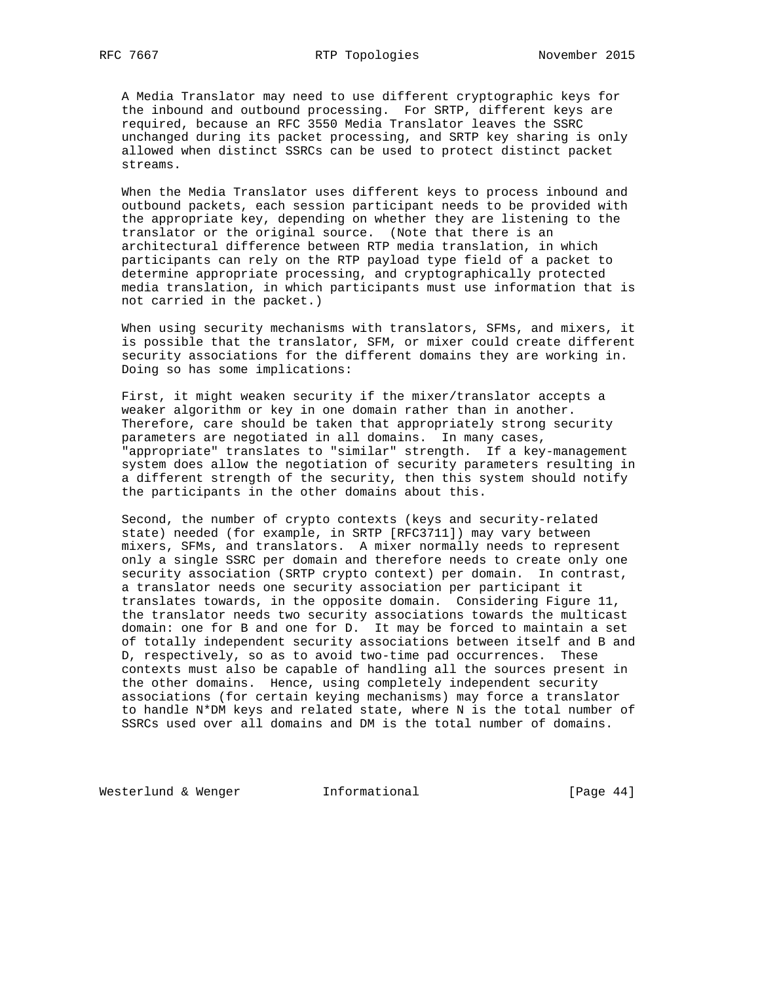A Media Translator may need to use different cryptographic keys for the inbound and outbound processing. For SRTP, different keys are required, because an RFC 3550 Media Translator leaves the SSRC unchanged during its packet processing, and SRTP key sharing is only allowed when distinct SSRCs can be used to protect distinct packet streams.

 When the Media Translator uses different keys to process inbound and outbound packets, each session participant needs to be provided with the appropriate key, depending on whether they are listening to the translator or the original source. (Note that there is an architectural difference between RTP media translation, in which participants can rely on the RTP payload type field of a packet to determine appropriate processing, and cryptographically protected media translation, in which participants must use information that is not carried in the packet.)

 When using security mechanisms with translators, SFMs, and mixers, it is possible that the translator, SFM, or mixer could create different security associations for the different domains they are working in. Doing so has some implications:

 First, it might weaken security if the mixer/translator accepts a weaker algorithm or key in one domain rather than in another. Therefore, care should be taken that appropriately strong security parameters are negotiated in all domains. In many cases, "appropriate" translates to "similar" strength. If a key-management system does allow the negotiation of security parameters resulting in a different strength of the security, then this system should notify the participants in the other domains about this.

 Second, the number of crypto contexts (keys and security-related state) needed (for example, in SRTP [RFC3711]) may vary between mixers, SFMs, and translators. A mixer normally needs to represent only a single SSRC per domain and therefore needs to create only one security association (SRTP crypto context) per domain. In contrast, a translator needs one security association per participant it translates towards, in the opposite domain. Considering Figure 11, the translator needs two security associations towards the multicast domain: one for B and one for D. It may be forced to maintain a set of totally independent security associations between itself and B and D, respectively, so as to avoid two-time pad occurrences. These contexts must also be capable of handling all the sources present in the other domains. Hence, using completely independent security associations (for certain keying mechanisms) may force a translator to handle N\*DM keys and related state, where N is the total number of SSRCs used over all domains and DM is the total number of domains.

Westerlund & Wenger **Informational Informational** [Page 44]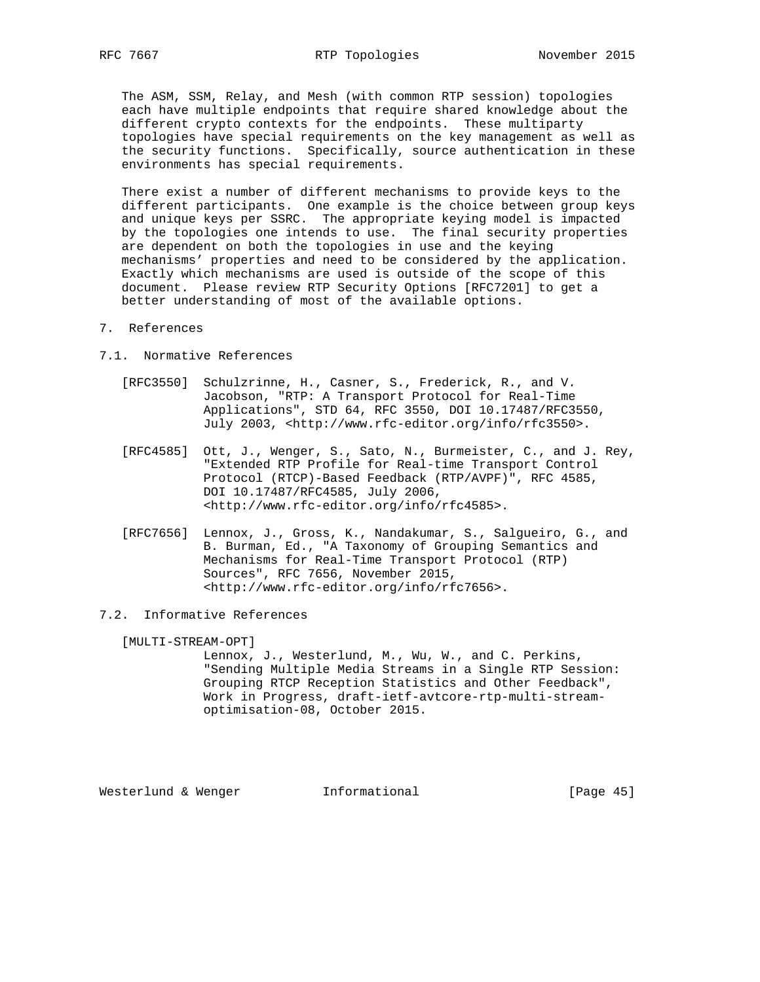The ASM, SSM, Relay, and Mesh (with common RTP session) topologies each have multiple endpoints that require shared knowledge about the different crypto contexts for the endpoints. These multiparty topologies have special requirements on the key management as well as the security functions. Specifically, source authentication in these environments has special requirements.

 There exist a number of different mechanisms to provide keys to the different participants. One example is the choice between group keys and unique keys per SSRC. The appropriate keying model is impacted by the topologies one intends to use. The final security properties are dependent on both the topologies in use and the keying mechanisms' properties and need to be considered by the application. Exactly which mechanisms are used is outside of the scope of this document. Please review RTP Security Options [RFC7201] to get a better understanding of most of the available options.

- 7. References
- 7.1. Normative References
	- [RFC3550] Schulzrinne, H., Casner, S., Frederick, R., and V. Jacobson, "RTP: A Transport Protocol for Real-Time Applications", STD 64, RFC 3550, DOI 10.17487/RFC3550, July 2003, <http://www.rfc-editor.org/info/rfc3550>.
	- [RFC4585] Ott, J., Wenger, S., Sato, N., Burmeister, C., and J. Rey, "Extended RTP Profile for Real-time Transport Control Protocol (RTCP)-Based Feedback (RTP/AVPF)", RFC 4585, DOI 10.17487/RFC4585, July 2006, <http://www.rfc-editor.org/info/rfc4585>.
	- [RFC7656] Lennox, J., Gross, K., Nandakumar, S., Salgueiro, G., and B. Burman, Ed., "A Taxonomy of Grouping Semantics and Mechanisms for Real-Time Transport Protocol (RTP) Sources", RFC 7656, November 2015, <http://www.rfc-editor.org/info/rfc7656>.
- 7.2. Informative References

[MULTI-STREAM-OPT]

 Lennox, J., Westerlund, M., Wu, W., and C. Perkins, "Sending Multiple Media Streams in a Single RTP Session: Grouping RTCP Reception Statistics and Other Feedback", Work in Progress, draft-ietf-avtcore-rtp-multi-stream optimisation-08, October 2015.

Westerlund & Wenger **Informational** [Page 45]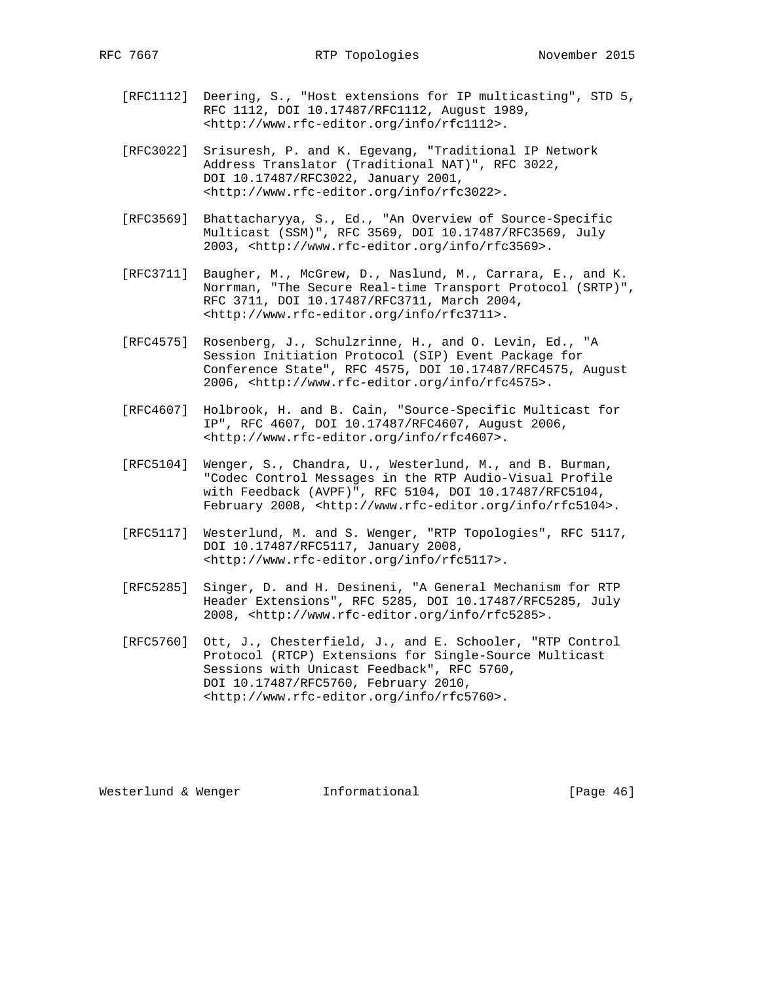- [RFC1112] Deering, S., "Host extensions for IP multicasting", STD 5, RFC 1112, DOI 10.17487/RFC1112, August 1989, <http://www.rfc-editor.org/info/rfc1112>.
- [RFC3022] Srisuresh, P. and K. Egevang, "Traditional IP Network Address Translator (Traditional NAT)", RFC 3022, DOI 10.17487/RFC3022, January 2001, <http://www.rfc-editor.org/info/rfc3022>.
- [RFC3569] Bhattacharyya, S., Ed., "An Overview of Source-Specific Multicast (SSM)", RFC 3569, DOI 10.17487/RFC3569, July 2003, <http://www.rfc-editor.org/info/rfc3569>.
- [RFC3711] Baugher, M., McGrew, D., Naslund, M., Carrara, E., and K. Norrman, "The Secure Real-time Transport Protocol (SRTP)", RFC 3711, DOI 10.17487/RFC3711, March 2004, <http://www.rfc-editor.org/info/rfc3711>.
- [RFC4575] Rosenberg, J., Schulzrinne, H., and O. Levin, Ed., "A Session Initiation Protocol (SIP) Event Package for Conference State", RFC 4575, DOI 10.17487/RFC4575, August 2006, <http://www.rfc-editor.org/info/rfc4575>.
- [RFC4607] Holbrook, H. and B. Cain, "Source-Specific Multicast for IP", RFC 4607, DOI 10.17487/RFC4607, August 2006, <http://www.rfc-editor.org/info/rfc4607>.
- [RFC5104] Wenger, S., Chandra, U., Westerlund, M., and B. Burman, "Codec Control Messages in the RTP Audio-Visual Profile with Feedback (AVPF)", RFC 5104, DOI 10.17487/RFC5104, February 2008, <http://www.rfc-editor.org/info/rfc5104>.
- [RFC5117] Westerlund, M. and S. Wenger, "RTP Topologies", RFC 5117, DOI 10.17487/RFC5117, January 2008, <http://www.rfc-editor.org/info/rfc5117>.
- [RFC5285] Singer, D. and H. Desineni, "A General Mechanism for RTP Header Extensions", RFC 5285, DOI 10.17487/RFC5285, July 2008, <http://www.rfc-editor.org/info/rfc5285>.
- [RFC5760] Ott, J., Chesterfield, J., and E. Schooler, "RTP Control Protocol (RTCP) Extensions for Single-Source Multicast Sessions with Unicast Feedback", RFC 5760, DOI 10.17487/RFC5760, February 2010, <http://www.rfc-editor.org/info/rfc5760>.

Westerlund & Wenger **Informational** [Page 46]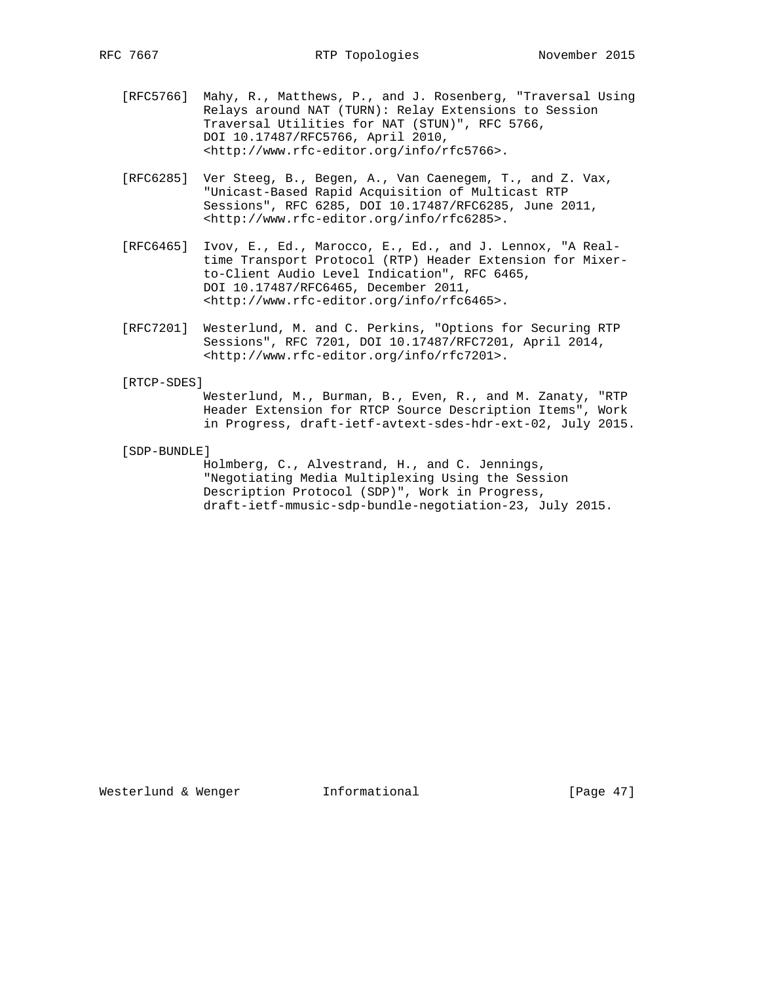RFC 7667 RTP Topologies November 2015

- [RFC5766] Mahy, R., Matthews, P., and J. Rosenberg, "Traversal Using Relays around NAT (TURN): Relay Extensions to Session Traversal Utilities for NAT (STUN)", RFC 5766, DOI 10.17487/RFC5766, April 2010, <http://www.rfc-editor.org/info/rfc5766>.
- [RFC6285] Ver Steeg, B., Begen, A., Van Caenegem, T., and Z. Vax, "Unicast-Based Rapid Acquisition of Multicast RTP Sessions", RFC 6285, DOI 10.17487/RFC6285, June 2011, <http://www.rfc-editor.org/info/rfc6285>.
- [RFC6465] Ivov, E., Ed., Marocco, E., Ed., and J. Lennox, "A Real time Transport Protocol (RTP) Header Extension for Mixer to-Client Audio Level Indication", RFC 6465, DOI 10.17487/RFC6465, December 2011, <http://www.rfc-editor.org/info/rfc6465>.
- [RFC7201] Westerlund, M. and C. Perkins, "Options for Securing RTP Sessions", RFC 7201, DOI 10.17487/RFC7201, April 2014, <http://www.rfc-editor.org/info/rfc7201>.

#### [RTCP-SDES]

 Westerlund, M., Burman, B., Even, R., and M. Zanaty, "RTP Header Extension for RTCP Source Description Items", Work in Progress, draft-ietf-avtext-sdes-hdr-ext-02, July 2015.

[SDP-BUNDLE]

 Holmberg, C., Alvestrand, H., and C. Jennings, "Negotiating Media Multiplexing Using the Session Description Protocol (SDP)", Work in Progress, draft-ietf-mmusic-sdp-bundle-negotiation-23, July 2015.